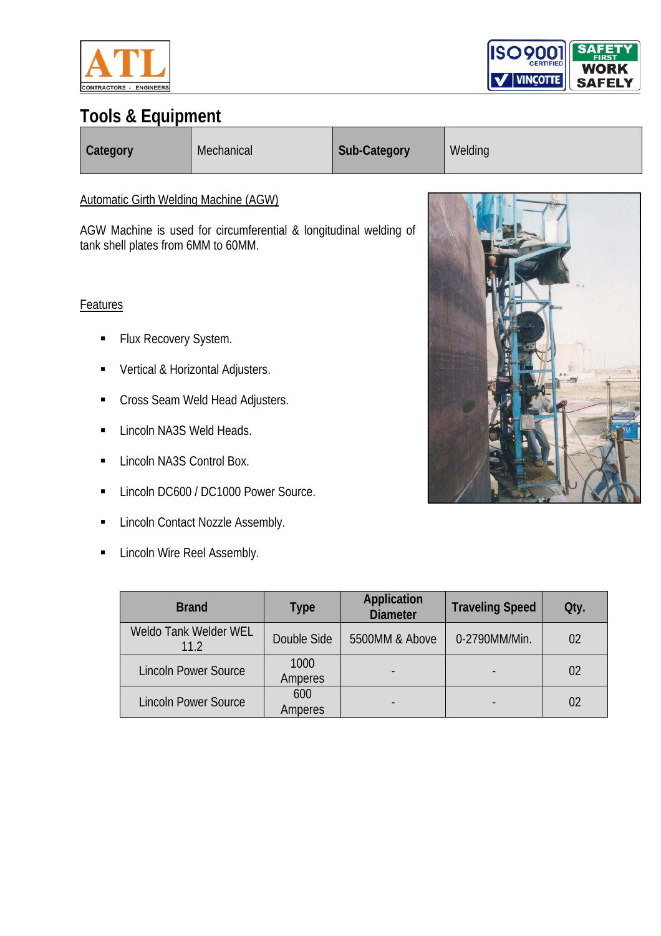



| <b>Category</b> | Mechanical | <b>Sub-Category</b> | Welding |
|-----------------|------------|---------------------|---------|
|-----------------|------------|---------------------|---------|

#### Automatic Girth Welding Machine (AGW)

AGW Machine is used for circumferential & longitudinal welding of tank shell plates from 6MM to 60MM.

#### Features

- **Flux Recovery System.**
- **•** Vertical & Horizontal Adjusters.
- Cross Seam Weld Head Adjusters.
- **Lincoln NA3S Weld Heads.**
- **Lincoln NA3S Control Box.**
- **Lincoln DC600 / DC1000 Power Source.**
- **E** Lincoln Contact Nozzle Assembly.
- **Example 1** Lincoln Wire Reel Assembly.



| <b>Brand</b>                  | Type            | <b>Application</b><br><b>Diameter</b> | <b>Traveling Speed</b> | Qty.           |
|-------------------------------|-----------------|---------------------------------------|------------------------|----------------|
| Weldo Tank Welder WEL<br>11.2 | Double Side     | 5500MM & Above                        | 0-2790MM/Min.          | 02             |
| <b>Lincoln Power Source</b>   | 1000<br>Amperes |                                       |                        | 0 <sup>2</sup> |
| <b>Lincoln Power Source</b>   | 600<br>Amperes  |                                       |                        | 02             |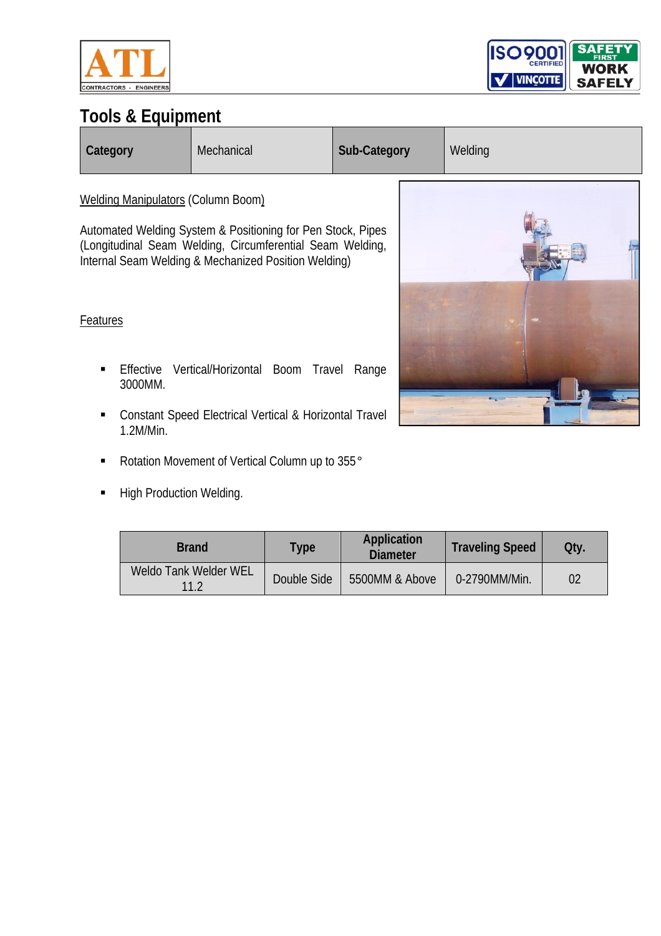



| Category                           | Mechanical                                                                                                                                                                       | Sub-Category | Welding |  |
|------------------------------------|----------------------------------------------------------------------------------------------------------------------------------------------------------------------------------|--------------|---------|--|
| Welding Manipulators (Column Boom) | Automated Welding System & Positioning for Pen Stock, Pipes<br>(Longitudinal Seam Welding, Circumferential Seam Welding,<br>Internal Seam Welding & Mechanized Position Welding) |              |         |  |
| Features<br>Effective              | Vertical/Horizontal Boom<br>Travel                                                                                                                                               | Range        |         |  |
| 3000MM.                            | Constant Speed Electrical Vertical & Horizontal Travel                                                                                                                           |              |         |  |

- Rotation Movement of Vertical Column up to 355°
- **High Production Welding.**

1.2M/Min.

| <b>Brand</b>                         | <b>Type</b> | Application<br><b>Diameter</b> | <b>Traveling Speed</b> | Qty. |
|--------------------------------------|-------------|--------------------------------|------------------------|------|
| <b>Weldo Tank Welder WEL</b><br>11.2 | Double Side | 5500MM & Above                 | 0-2790MM/Min.          | 02   |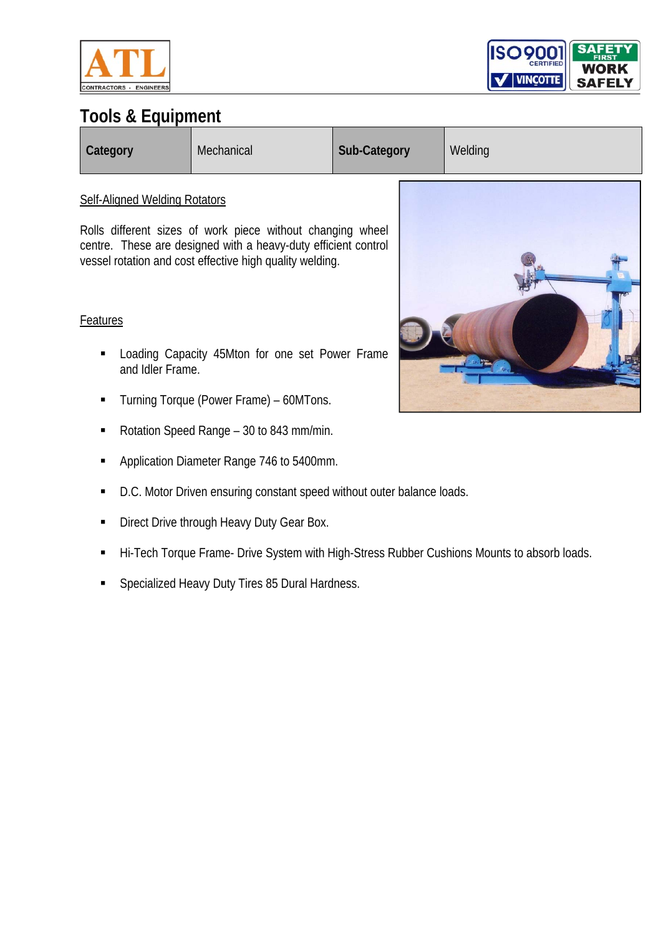



| <b>Category</b> | Mechanical | Sub-Category | Welding |
|-----------------|------------|--------------|---------|
|-----------------|------------|--------------|---------|

#### Self-Aligned Welding Rotators

Rolls different sizes of work piece without changing wheel centre. These are designed with a heavy-duty efficient control vessel rotation and cost effective high quality welding.

#### Features

- **EXECUTE:** Loading Capacity 45Mton for one set Power Frame and Idler Frame.
- Turning Torque (Power Frame) 60MTons.
- Rotation Speed Range 30 to 843 mm/min.
- **Application Diameter Range 746 to 5400mm.**
- D.C. Motor Driven ensuring constant speed without outer balance loads.
- Direct Drive through Heavy Duty Gear Box.
- Hi-Tech Torque Frame- Drive System with High-Stress Rubber Cushions Mounts to absorb loads.
- **Specialized Heavy Duty Tires 85 Dural Hardness.**

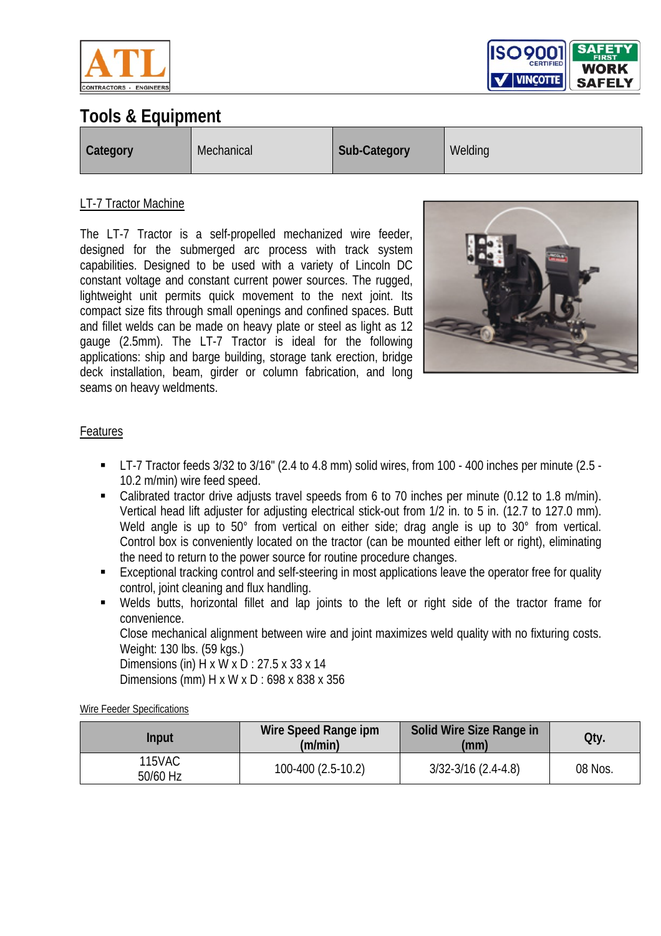



| <b>Category</b> | Mechanical | Sub-Category | Welding |
|-----------------|------------|--------------|---------|
|-----------------|------------|--------------|---------|

#### LT-7 Tractor Machine

The LT-7 Tractor is a self-propelled mechanized wire feeder, designed for the submerged arc process with track system capabilities. Designed to be used with a variety of Lincoln DC constant voltage and constant current power sources. The rugged, lightweight unit permits quick movement to the next joint. Its compact size fits through small openings and confined spaces. Butt and fillet welds can be made on heavy plate or steel as light as 12 gauge (2.5mm). The LT-7 Tractor is ideal for the following applications: ship and barge building, storage tank erection, bridge deck installation, beam, girder or column fabrication, and long seams on heavy weldments.



#### Features

- LT-7 Tractor feeds 3/32 to 3/16" (2.4 to 4.8 mm) solid wires, from 100 400 inches per minute (2.5 10.2 m/min) wire feed speed.
- Calibrated tractor drive adjusts travel speeds from 6 to 70 inches per minute (0.12 to 1.8 m/min). Vertical head lift adjuster for adjusting electrical stick-out from 1/2 in. to 5 in. (12.7 to 127.0 mm). Weld angle is up to 50° from vertical on either side; drag angle is up to 30° from vertical. Control box is conveniently located on the tractor (can be mounted either left or right), eliminating the need to return to the power source for routine procedure changes.
- **Exceptional tracking control and self-steering in most applications leave the operator free for quality** control, joint cleaning and flux handling.
- Welds butts, horizontal fillet and lap joints to the left or right side of the tractor frame for convenience.

Close mechanical alignment between wire and joint maximizes weld quality with no fixturing costs. Weight: 130 lbs. (59 kgs.)

Dimensions (in) H x W x D : 27.5 x 33 x 14 Dimensions (mm) H x W x D : 698 x 838 x 356

Wire Feeder Specifications

| Input              | Wire Speed Range ipm<br>(m/min) | Solid Wire Size Range in<br>(mm) | Qty.    |
|--------------------|---------------------------------|----------------------------------|---------|
| 115VAC<br>50/60 Hz | 100-400 (2.5-10.2)              | $3/32 - 3/16$ (2.4-4.8)          | 08 Nos. |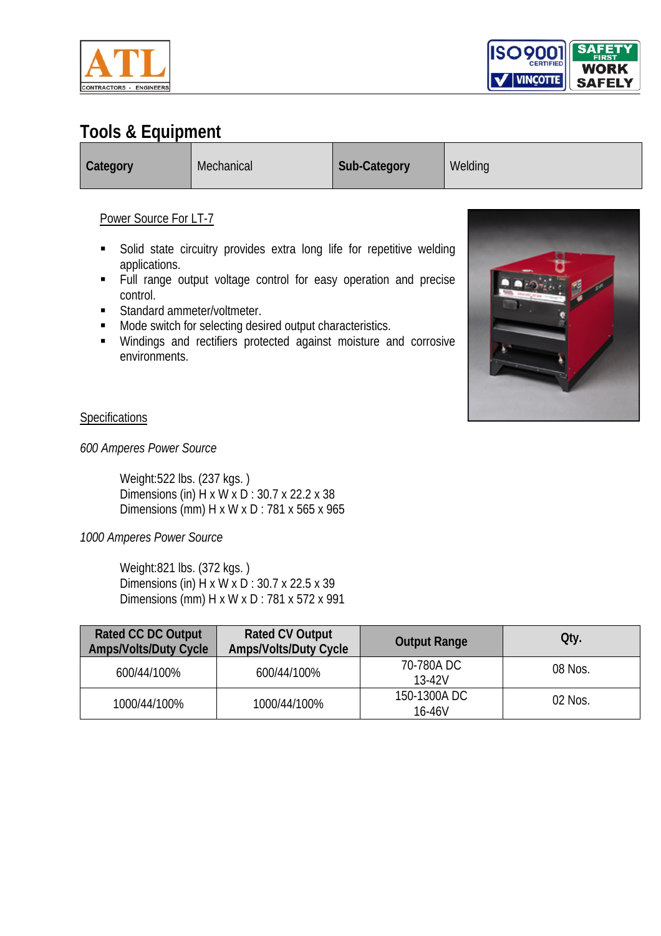



**Category** Mechanical **Sub-Category** Welding

#### Power Source For LT-7

- **Solid state circuitry provides extra long life for repetitive welding** applications.
- Full range output voltage control for easy operation and precise control.
- **Standard ammeter/voltmeter.**
- **Mode switch for selecting desired output characteristics.**
- Windings and rectifiers protected against moisture and corrosive environments.



#### **Specifications**

*600 Amperes Power Source* 

Weight:522 lbs. (237 kgs. ) Dimensions (in) H x W x D : 30.7 x 22.2 x 38 Dimensions (mm) H x W x D : 781 x 565 x 965

#### *1000 Amperes Power Source*

Weight:821 lbs. (372 kgs. ) Dimensions (in) H x W x D : 30.7 x 22.5 x 39 Dimensions (mm) H x W x D : 781 x 572 x 991

| <b>Rated CC DC Output</b><br><b>Amps/Volts/Duty Cycle</b> | <b>Rated CV Output</b><br><b>Amps/Volts/Duty Cycle</b> | <b>Output Range</b>   | Qty.    |
|-----------------------------------------------------------|--------------------------------------------------------|-----------------------|---------|
| 600/44/100%                                               | 600/44/100%                                            | 70-780A DC<br>13-42V  | 08 Nos. |
| 1000/44/100%                                              | 1000/44/100%                                           | 150-1300ADC<br>16-46V | 02 Nos. |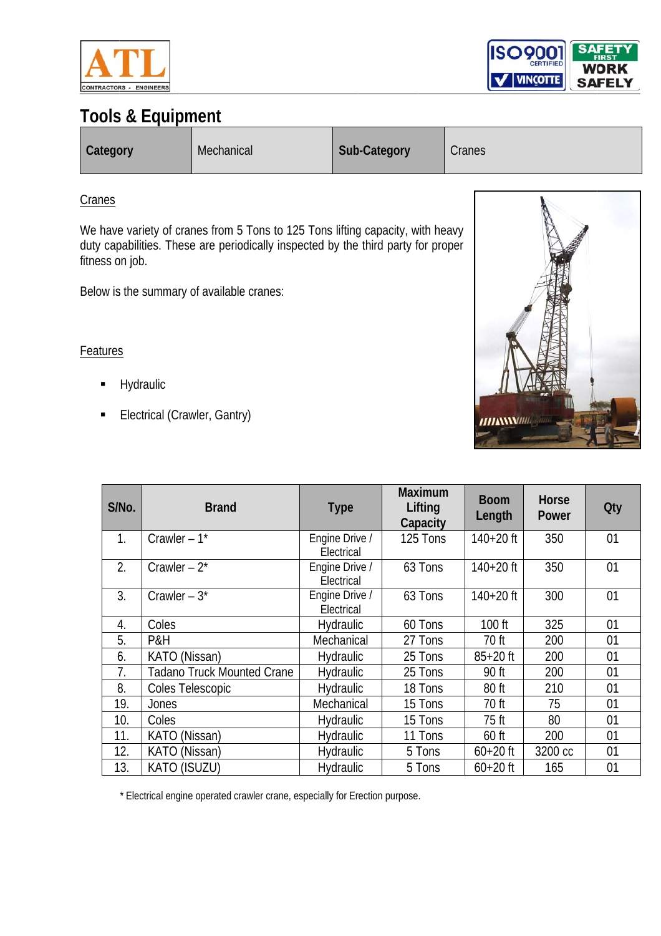



| <b>Category</b> | Mechanical | Sub-Category | Cranes |
|-----------------|------------|--------------|--------|
|-----------------|------------|--------------|--------|

#### **Cranes**

We have variety of cranes from 5 Tons to 125 Tons lifting capacity, with heavy duty capabilities. These are periodically inspected by the third party for proper fitness on job.

Below is the summary of available cranes:

#### **Features**

- $\blacksquare$ Hydraulic
- $\blacksquare$ Electrical (C rawler, Gant ry)

| <b>HIIANNIM</b> |  |
|-----------------|--|

| S/No.          | <b>Brand</b>                      | <b>Type</b>                  | <b>Maximum</b><br>Lifting<br>Capacity | <b>Boom</b><br>Length | Horse<br>Power | <b>Qty</b> |
|----------------|-----------------------------------|------------------------------|---------------------------------------|-----------------------|----------------|------------|
| 1 <sub>1</sub> | Crawler $-1$ <sup>*</sup>         | Engine Drive /<br>Electrical | 125 Tons                              | $140+20$ ft           | 350            | 01         |
| 2.             | Crawler $-2^*$                    | Engine Drive /<br>Electrical | 63 Tons                               | $140+20$ ft           | 350            | 01         |
| 3.             | Crawler $-3$ *                    | Engine Drive /<br>Electrical | 63 Tons                               | $140+20$ ft           | 300            | 01         |
| 4.             | Coles                             | <b>Hydraulic</b>             | 60 Tons                               | 100 ft                | 325            | 01         |
| 5.             | P&H                               | Mechanical                   | 27 Tons                               | 70 ft                 | 200            | 01         |
| 6.             | KATO (Nissan)                     | <b>Hydraulic</b>             | 25 Tons                               | $85 + 20$ ft          | 200            | 01         |
| 7.             | <b>Tadano Truck Mounted Crane</b> | Hydraulic                    | 25 Tons                               | 90 ft                 | 200            | 01         |
| 8.             | Coles Telescopic                  | Hydraulic                    | 18 Tons                               | 80 ft                 | 210            | 01         |
| 19.            | Jones                             | Mechanical                   | 15 Tons                               | 70 ft                 | 75             | 01         |
| 10.            | Coles                             | <b>Hydraulic</b>             | 15 Tons                               | 75 ft                 | 80             | 01         |
| 11.            | KATO (Nissan)                     | <b>Hydraulic</b>             | 11 Tons                               | $60$ ft               | 200            | 01         |
| 12.            | KATO (Nissan)                     | <b>Hydraulic</b>             | 5 Tons                                | $60 + 20$ ft          | 3200 cc        | 01         |
| 13.            | <b>KATO (ISUZU)</b>               | Hydraulic                    | 5 Tons                                | $60 + 20$ ft          | 165            | 01         |

\* Electrical engine operated crawler crane, especially for Erection purpose.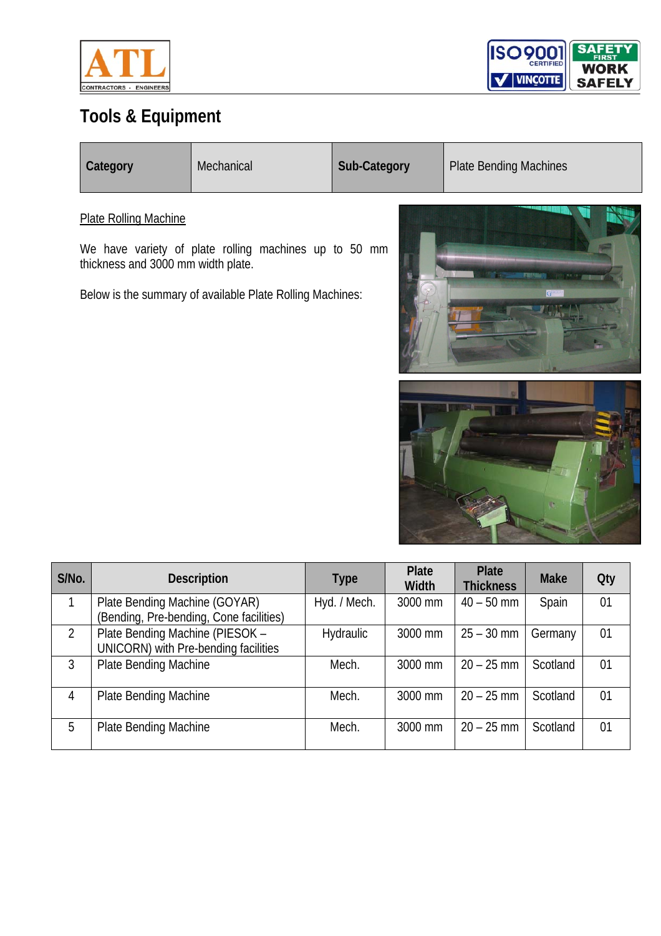



| Category | Mechanical | <b>Sub-Category</b> | <b>Plate Bending Machines</b> |
|----------|------------|---------------------|-------------------------------|
|          |            |                     |                               |

Plate Rolling Machine

We have variety of plate rolling machines up to 50 mm thickness and 3000 mm width plate.

Below is the summary of available Plate Rolling Machines:



| S/No. | <b>Description</b>                                                       | Type             | <b>Plate</b><br><b>Width</b> | <b>Plate</b><br><b>Thickness</b> | <b>Make</b> | <b>Qty</b> |
|-------|--------------------------------------------------------------------------|------------------|------------------------------|----------------------------------|-------------|------------|
| 1     | Plate Bending Machine (GOYAR)<br>(Bending, Pre-bending, Cone facilities) | Hyd. / Mech.     | 3000 mm                      | $40 - 50$ mm                     | Spain       | 01         |
| 2     | Plate Bending Machine (PIESOK -<br>UNICORN) with Pre-bending facilities  | <b>Hydraulic</b> | 3000 mm                      | $25 - 30$ mm                     | Germany     | 01         |
| 3     | Plate Bending Machine                                                    | Mech.            | 3000 mm                      | $20 - 25$ mm                     | Scotland    | 01         |
| 4     | <b>Plate Bending Machine</b>                                             | Mech.            | 3000 mm                      | $20 - 25$ mm                     | Scotland    | 01         |
| 5     | Plate Bending Machine                                                    | Mech.            | 3000 mm                      | $20 - 25$ mm                     | Scotland    | 01         |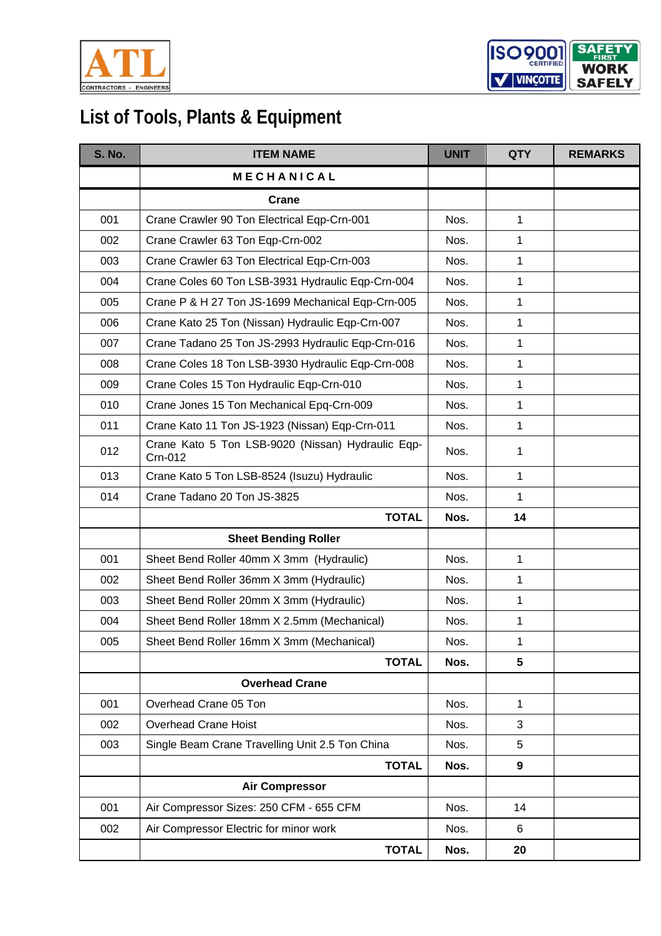



| <b>S. No.</b> | <b>ITEM NAME</b>                                             | <b>UNIT</b> | <b>QTY</b>      | <b>REMARKS</b> |
|---------------|--------------------------------------------------------------|-------------|-----------------|----------------|
|               | <b>MECHANICAL</b>                                            |             |                 |                |
|               | Crane                                                        |             |                 |                |
| 001           | Crane Crawler 90 Ton Electrical Eqp-Crn-001                  | Nos.        | 1               |                |
| 002           | Crane Crawler 63 Ton Eqp-Crn-002                             | Nos.        | 1               |                |
| 003           | Crane Crawler 63 Ton Electrical Eqp-Crn-003                  | Nos.        | 1               |                |
| 004           | Crane Coles 60 Ton LSB-3931 Hydraulic Eqp-Crn-004            | Nos.        | $\mathbf{1}$    |                |
| 005           | Crane P & H 27 Ton JS-1699 Mechanical Eqp-Crn-005            | Nos.        | 1               |                |
| 006           | Crane Kato 25 Ton (Nissan) Hydraulic Eqp-Crn-007             | Nos.        | 1               |                |
| 007           | Crane Tadano 25 Ton JS-2993 Hydraulic Eqp-Crn-016            | Nos.        | 1               |                |
| 008           | Crane Coles 18 Ton LSB-3930 Hydraulic Eqp-Crn-008            | Nos.        | 1               |                |
| 009           | Crane Coles 15 Ton Hydraulic Eqp-Crn-010                     | Nos.        | 1               |                |
| 010           | Crane Jones 15 Ton Mechanical Epq-Crn-009                    | Nos.        | 1               |                |
| 011           | Crane Kato 11 Ton JS-1923 (Nissan) Eqp-Crn-011               | Nos.        | 1               |                |
| 012           | Crane Kato 5 Ton LSB-9020 (Nissan) Hydraulic Eqp-<br>Crn-012 | Nos.        | 1               |                |
| 013           | Crane Kato 5 Ton LSB-8524 (Isuzu) Hydraulic                  | Nos.        | 1               |                |
| 014           | Crane Tadano 20 Ton JS-3825                                  | Nos.        | 1               |                |
|               | <b>TOTAL</b>                                                 | Nos.        | 14              |                |
|               | <b>Sheet Bending Roller</b>                                  |             |                 |                |
| 001           | Sheet Bend Roller 40mm X 3mm (Hydraulic)                     | Nos.        | 1               |                |
| 002           | Sheet Bend Roller 36mm X 3mm (Hydraulic)                     | Nos.        | 1               |                |
| 003           | Sheet Bend Roller 20mm X 3mm (Hydraulic)                     | Nos.        | 1               |                |
| 004           | Sheet Bend Roller 18mm X 2.5mm (Mechanical)                  | Nos.        | 1               |                |
| 005           | Sheet Bend Roller 16mm X 3mm (Mechanical)                    | Nos.        | 1               |                |
|               | <b>TOTAL</b>                                                 | Nos.        | $5\phantom{.0}$ |                |
|               | <b>Overhead Crane</b>                                        |             |                 |                |
| 001           | Overhead Crane 05 Ton                                        | Nos.        | 1               |                |
| 002           | <b>Overhead Crane Hoist</b>                                  | Nos.        | 3               |                |
| 003           | Single Beam Crane Travelling Unit 2.5 Ton China              | Nos.        | 5               |                |
|               | <b>TOTAL</b>                                                 | Nos.        | 9               |                |
|               | <b>Air Compressor</b>                                        |             |                 |                |
| 001           | Air Compressor Sizes: 250 CFM - 655 CFM                      | Nos.        | 14              |                |
| 002           | Air Compressor Electric for minor work                       | Nos.        | 6               |                |
|               | <b>TOTAL</b>                                                 | Nos.        | 20              |                |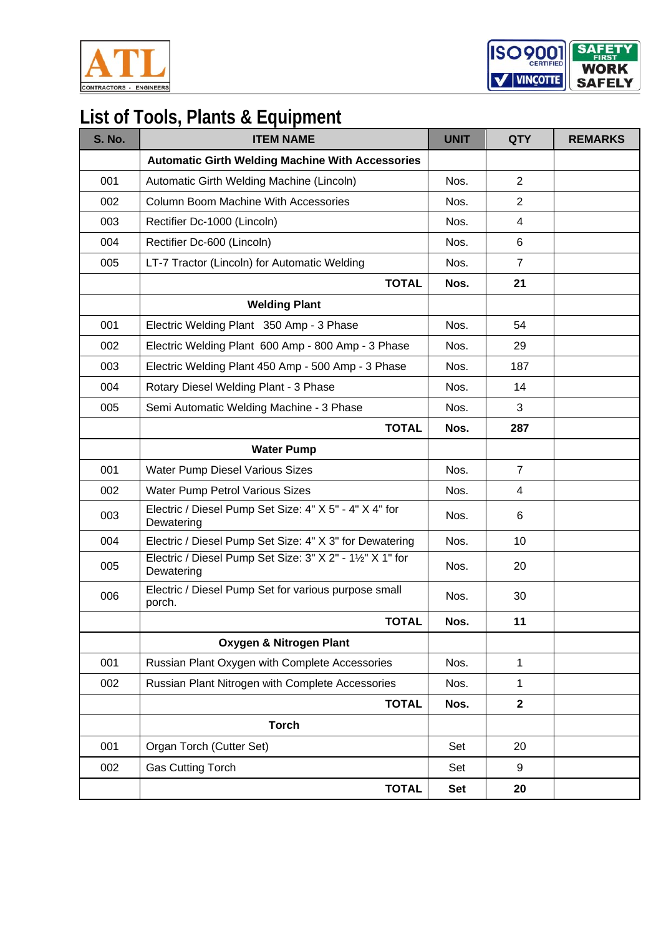

ISO<sub>9001</sub> **SAF** WORK  $\mathbf{v}$  VINCOTTE **SAFELY** 

| <b>S. No.</b> | <b>ITEM NAME</b>                                                        | <b>UNIT</b> | <b>QTY</b>     | <b>REMARKS</b> |
|---------------|-------------------------------------------------------------------------|-------------|----------------|----------------|
|               | <b>Automatic Girth Welding Machine With Accessories</b>                 |             |                |                |
| 001           | Automatic Girth Welding Machine (Lincoln)                               | Nos.        | 2              |                |
| 002           | <b>Column Boom Machine With Accessories</b>                             | Nos.        | 2              |                |
| 003           | Rectifier Dc-1000 (Lincoln)                                             | Nos.        | $\overline{4}$ |                |
| 004           | Rectifier Dc-600 (Lincoln)                                              | Nos.        | 6              |                |
| 005           | LT-7 Tractor (Lincoln) for Automatic Welding                            | Nos.        | $\overline{7}$ |                |
|               | <b>TOTAL</b>                                                            | Nos.        | 21             |                |
|               | <b>Welding Plant</b>                                                    |             |                |                |
| 001           | Electric Welding Plant 350 Amp - 3 Phase                                | Nos.        | 54             |                |
| 002           | Electric Welding Plant 600 Amp - 800 Amp - 3 Phase                      | Nos.        | 29             |                |
| 003           | Electric Welding Plant 450 Amp - 500 Amp - 3 Phase                      | Nos.        | 187            |                |
| 004           | Rotary Diesel Welding Plant - 3 Phase                                   | Nos.        | 14             |                |
| 005           | Semi Automatic Welding Machine - 3 Phase                                | Nos.        | 3              |                |
|               | <b>TOTAL</b>                                                            | Nos.        | 287            |                |
|               | <b>Water Pump</b>                                                       |             |                |                |
| 001           | Water Pump Diesel Various Sizes                                         | Nos.        | $\overline{7}$ |                |
| 002           | Water Pump Petrol Various Sizes                                         | Nos.        | 4              |                |
| 003           | Electric / Diesel Pump Set Size: 4" X 5" - 4" X 4" for<br>Dewatering    | Nos.        | 6              |                |
| 004           | Electric / Diesel Pump Set Size: 4" X 3" for Dewatering                 | Nos.        | 10             |                |
| 005           | Electric / Diesel Pump Set Size: 3" X 2" - 11/2" X 1" for<br>Dewatering | Nos.        | 20             |                |
| 006           | Electric / Diesel Pump Set for various purpose small<br>porch.          | Nos.        | 30             |                |
|               | <b>TOTAL</b>                                                            | Nos.        | 11             |                |
|               | Oxygen & Nitrogen Plant                                                 |             |                |                |
| 001           | Russian Plant Oxygen with Complete Accessories                          | Nos.        | $\mathbf{1}$   |                |
| 002           | Russian Plant Nitrogen with Complete Accessories                        | Nos.        | $\mathbf{1}$   |                |
|               | <b>TOTAL</b>                                                            | Nos.        | $\mathbf{2}$   |                |
|               | <b>Torch</b>                                                            |             |                |                |
| 001           | Organ Torch (Cutter Set)                                                | Set         | 20             |                |
| 002           | <b>Gas Cutting Torch</b>                                                | Set         | 9              |                |
|               | <b>TOTAL</b>                                                            | <b>Set</b>  | 20             |                |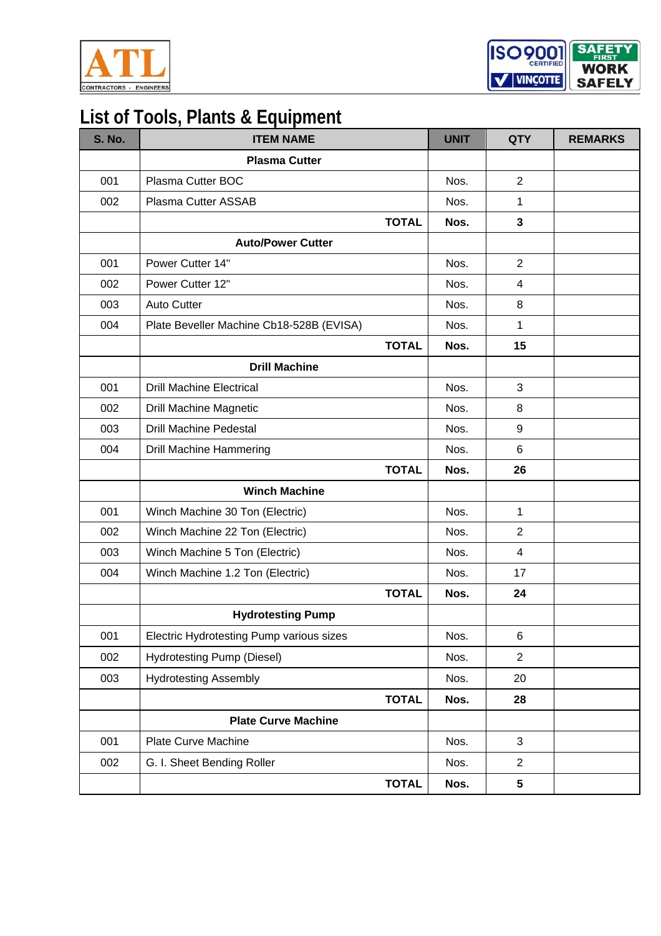



| <b>S. No.</b> | <b>ITEM NAME</b>                         |              | <b>UNIT</b> | <b>QTY</b>      | <b>REMARKS</b> |
|---------------|------------------------------------------|--------------|-------------|-----------------|----------------|
|               | <b>Plasma Cutter</b>                     |              |             |                 |                |
| 001           | Plasma Cutter BOC                        |              | Nos.        | 2               |                |
| 002           | Plasma Cutter ASSAB                      |              | Nos.        | 1               |                |
|               |                                          | <b>TOTAL</b> | Nos.        | $\mathbf{3}$    |                |
|               | <b>Auto/Power Cutter</b>                 |              |             |                 |                |
| 001           | Power Cutter 14"                         |              | Nos.        | 2               |                |
| 002           | Power Cutter 12"                         |              | Nos.        | $\overline{4}$  |                |
| 003           | <b>Auto Cutter</b>                       |              | Nos.        | 8               |                |
| 004           | Plate Beveller Machine Cb18-528B (EVISA) |              | Nos.        | 1               |                |
|               |                                          | <b>TOTAL</b> | Nos.        | 15              |                |
|               | <b>Drill Machine</b>                     |              |             |                 |                |
| 001           | <b>Drill Machine Electrical</b>          |              | Nos.        | 3               |                |
| 002           | <b>Drill Machine Magnetic</b>            |              | Nos.        | 8               |                |
| 003           | <b>Drill Machine Pedestal</b>            |              | Nos.        | 9               |                |
| 004           | <b>Drill Machine Hammering</b>           |              | Nos.        | 6               |                |
|               |                                          | <b>TOTAL</b> | Nos.        | 26              |                |
|               | <b>Winch Machine</b>                     |              |             |                 |                |
| 001           | Winch Machine 30 Ton (Electric)          |              | Nos.        | $\mathbf{1}$    |                |
| 002           | Winch Machine 22 Ton (Electric)          |              | Nos.        | 2               |                |
| 003           | Winch Machine 5 Ton (Electric)           |              | Nos.        | $\overline{4}$  |                |
| 004           | Winch Machine 1.2 Ton (Electric)         |              | Nos.        | 17              |                |
|               |                                          | <b>TOTAL</b> | Nos.        | 24              |                |
|               | <b>Hydrotesting Pump</b>                 |              |             |                 |                |
| 001           | Electric Hydrotesting Pump various sizes |              | Nos.        | 6               |                |
| 002           | Hydrotesting Pump (Diesel)               |              | Nos.        | $\overline{2}$  |                |
| 003           | <b>Hydrotesting Assembly</b>             |              | Nos.        | 20              |                |
|               |                                          | <b>TOTAL</b> | Nos.        | 28              |                |
|               | <b>Plate Curve Machine</b>               |              |             |                 |                |
| 001           | <b>Plate Curve Machine</b>               |              | Nos.        | 3               |                |
| 002           | G. I. Sheet Bending Roller               |              | Nos.        | $\overline{2}$  |                |
|               |                                          | <b>TOTAL</b> | Nos.        | $5\phantom{.0}$ |                |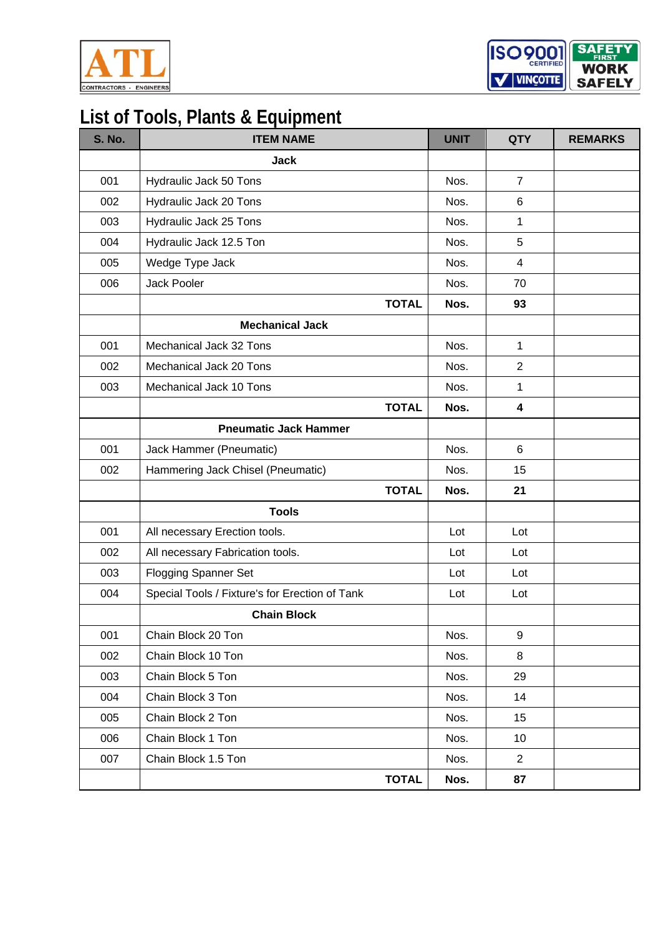



| <b>S. No.</b> | <b>ITEM NAME</b>                               | <b>UNIT</b> | <b>QTY</b>     | <b>REMARKS</b> |
|---------------|------------------------------------------------|-------------|----------------|----------------|
|               | <b>Jack</b>                                    |             |                |                |
| 001           | Hydraulic Jack 50 Tons                         | Nos.        | $\overline{7}$ |                |
| 002           | Hydraulic Jack 20 Tons                         | Nos.        | 6              |                |
| 003           | Hydraulic Jack 25 Tons                         | Nos.        | 1              |                |
| 004           | Hydraulic Jack 12.5 Ton                        | Nos.        | 5              |                |
| 005           | Wedge Type Jack                                | Nos.        | $\overline{4}$ |                |
| 006           | Jack Pooler                                    | Nos.        | 70             |                |
|               | <b>TOTAL</b>                                   | Nos.        | 93             |                |
|               | <b>Mechanical Jack</b>                         |             |                |                |
| 001           | Mechanical Jack 32 Tons                        | Nos.        | 1              |                |
| 002           | Mechanical Jack 20 Tons                        | Nos.        | $\overline{2}$ |                |
| 003           | Mechanical Jack 10 Tons                        | Nos.        | 1              |                |
|               | <b>TOTAL</b>                                   | Nos.        | 4              |                |
|               | <b>Pneumatic Jack Hammer</b>                   |             |                |                |
| 001           | Jack Hammer (Pneumatic)                        | Nos.        | $6\phantom{1}$ |                |
| 002           | Hammering Jack Chisel (Pneumatic)              | Nos.        | 15             |                |
|               | <b>TOTAL</b>                                   | Nos.        | 21             |                |
|               | <b>Tools</b>                                   |             |                |                |
| 001           | All necessary Erection tools.                  | Lot         | Lot            |                |
| 002           | All necessary Fabrication tools.               | Lot         | Lot            |                |
| 003           | <b>Flogging Spanner Set</b>                    | Lot         | Lot            |                |
| 004           | Special Tools / Fixture's for Erection of Tank | Lot         | Lot            |                |
|               | <b>Chain Block</b>                             |             |                |                |
| 001           | Chain Block 20 Ton                             | Nos.        | 9              |                |
| 002           | Chain Block 10 Ton                             | Nos.        | 8              |                |
| 003           | Chain Block 5 Ton                              | Nos.        | 29             |                |
| 004           | Chain Block 3 Ton                              | Nos.        | 14             |                |
| 005           | Chain Block 2 Ton                              | Nos.        | 15             |                |
| 006           | Chain Block 1 Ton                              | Nos.        | 10             |                |
| 007           | Chain Block 1.5 Ton                            | Nos.        | $\overline{2}$ |                |
|               | <b>TOTAL</b>                                   | Nos.        | 87             |                |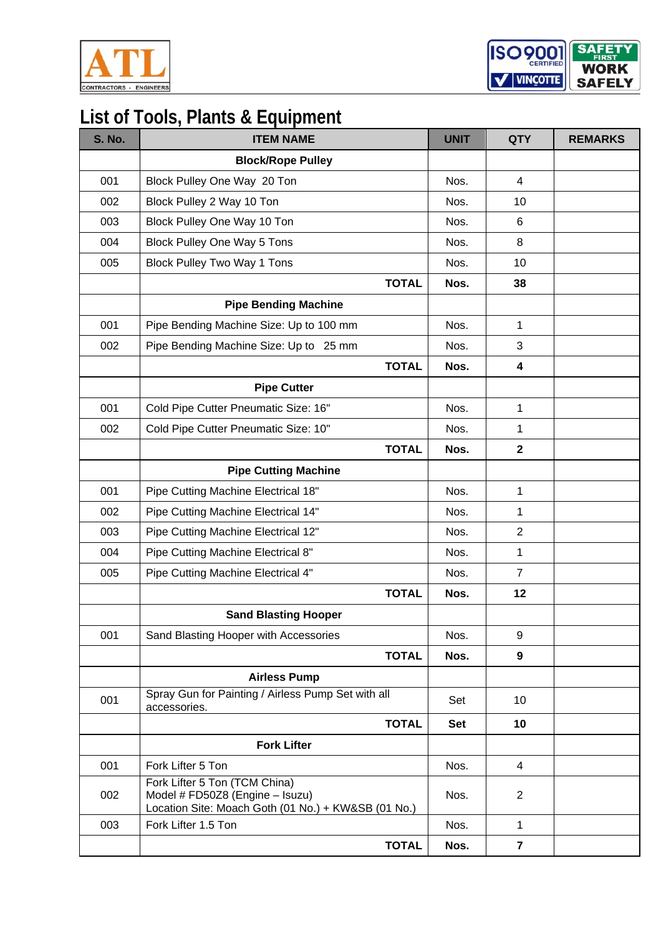

ISO<sub>9001</sub> **SAFE** WORK V VINCOTTE **SAFELY** 

| <b>S. No.</b> | <b>ITEM NAME</b>                                                                                                        | <b>UNIT</b> | <b>QTY</b>     | <b>REMARKS</b> |
|---------------|-------------------------------------------------------------------------------------------------------------------------|-------------|----------------|----------------|
|               | <b>Block/Rope Pulley</b>                                                                                                |             |                |                |
| 001           | Block Pulley One Way 20 Ton                                                                                             | Nos.        | 4              |                |
| 002           | Block Pulley 2 Way 10 Ton                                                                                               | Nos.        | 10             |                |
| 003           | Block Pulley One Way 10 Ton                                                                                             | Nos.        | 6              |                |
| 004           | <b>Block Pulley One Way 5 Tons</b>                                                                                      | Nos.        | 8              |                |
| 005           | <b>Block Pulley Two Way 1 Tons</b>                                                                                      | Nos.        | 10             |                |
|               | <b>TOTAL</b>                                                                                                            | Nos.        | 38             |                |
|               | <b>Pipe Bending Machine</b>                                                                                             |             |                |                |
| 001           | Pipe Bending Machine Size: Up to 100 mm                                                                                 | Nos.        | 1              |                |
| 002           | Pipe Bending Machine Size: Up to 25 mm                                                                                  | Nos.        | 3              |                |
|               | <b>TOTAL</b>                                                                                                            | Nos.        | 4              |                |
|               | <b>Pipe Cutter</b>                                                                                                      |             |                |                |
| 001           | Cold Pipe Cutter Pneumatic Size: 16"                                                                                    | Nos.        | 1              |                |
| 002           | Cold Pipe Cutter Pneumatic Size: 10"                                                                                    | Nos.        | 1              |                |
|               | <b>TOTAL</b>                                                                                                            | Nos.        | $\mathbf 2$    |                |
|               | <b>Pipe Cutting Machine</b>                                                                                             |             |                |                |
| 001           | Pipe Cutting Machine Electrical 18"                                                                                     | Nos.        | $\mathbf 1$    |                |
| 002           | Pipe Cutting Machine Electrical 14"                                                                                     | Nos.        | 1              |                |
| 003           | Pipe Cutting Machine Electrical 12"                                                                                     | Nos.        | $\overline{2}$ |                |
| 004           | Pipe Cutting Machine Electrical 8"                                                                                      | Nos.        | 1              |                |
| 005           | Pipe Cutting Machine Electrical 4"                                                                                      | Nos.        | $\overline{7}$ |                |
|               | <b>TOTAL</b>                                                                                                            | Nos.        | 12             |                |
|               | <b>Sand Blasting Hooper</b>                                                                                             |             |                |                |
| 001           | Sand Blasting Hooper with Accessories                                                                                   | Nos.        | 9              |                |
|               | <b>TOTAL</b>                                                                                                            | Nos.        | 9              |                |
|               | <b>Airless Pump</b>                                                                                                     |             |                |                |
| 001           | Spray Gun for Painting / Airless Pump Set with all<br>accessories.                                                      | Set         | 10             |                |
|               | <b>TOTAL</b>                                                                                                            | <b>Set</b>  | 10             |                |
|               | <b>Fork Lifter</b>                                                                                                      |             |                |                |
| 001           | Fork Lifter 5 Ton                                                                                                       | Nos.        | $\overline{4}$ |                |
| 002           | Fork Lifter 5 Ton (TCM China)<br>Model # FD50Z8 (Engine - Isuzu)<br>Location Site: Moach Goth (01 No.) + KW&SB (01 No.) | Nos.        | $\overline{2}$ |                |
| 003           | Fork Lifter 1.5 Ton                                                                                                     | Nos.        | $\mathbf{1}$   |                |
|               | <b>TOTAL</b>                                                                                                            | Nos.        | $\overline{7}$ |                |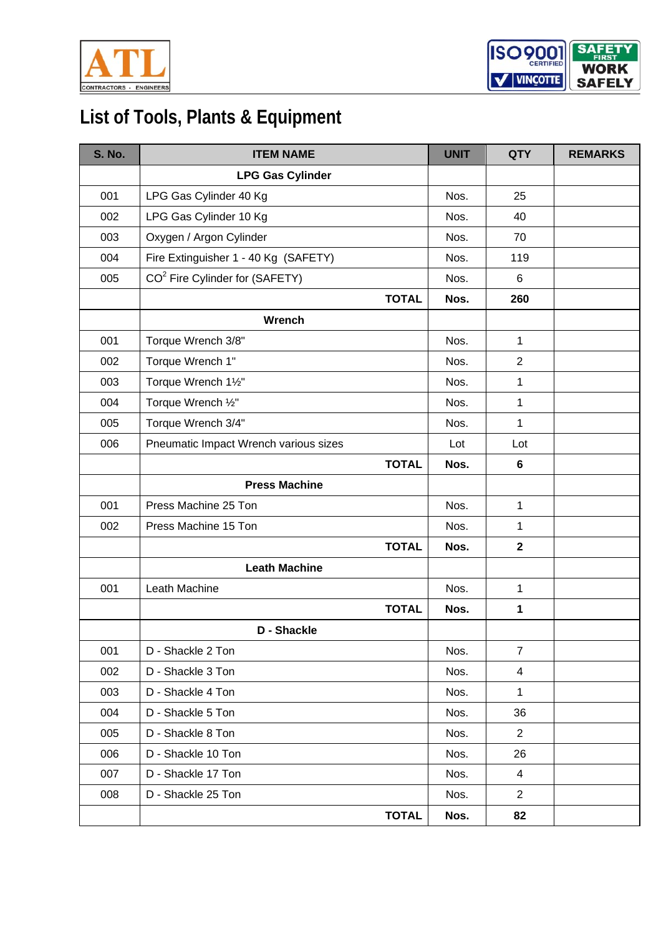



| <b>S. No.</b> | <b>ITEM NAME</b>                           | <b>UNIT</b> | <b>QTY</b>     | <b>REMARKS</b> |
|---------------|--------------------------------------------|-------------|----------------|----------------|
|               | <b>LPG Gas Cylinder</b>                    |             |                |                |
| 001           | LPG Gas Cylinder 40 Kg                     | Nos.        | 25             |                |
| 002           | LPG Gas Cylinder 10 Kg                     | Nos.        | 40             |                |
| 003           | Oxygen / Argon Cylinder                    | Nos.        | 70             |                |
| 004           | Fire Extinguisher 1 - 40 Kg (SAFETY)       | Nos.        | 119            |                |
| 005           | CO <sup>2</sup> Fire Cylinder for (SAFETY) | Nos.        | 6              |                |
|               | <b>TOTAL</b>                               | Nos.        | 260            |                |
|               | Wrench                                     |             |                |                |
| 001           | Torque Wrench 3/8"                         | Nos.        | $\mathbf{1}$   |                |
| 002           | Torque Wrench 1"                           | Nos.        | $\overline{2}$ |                |
| 003           | Torque Wrench 11/2"                        | Nos.        | $\mathbf 1$    |                |
| 004           | Torque Wrench 1/2"                         | Nos.        | $\mathbf{1}$   |                |
| 005           | Torque Wrench 3/4"                         | Nos.        | $\mathbf{1}$   |                |
| 006           | Pneumatic Impact Wrench various sizes      | Lot         | Lot            |                |
|               | <b>TOTAL</b>                               | Nos.        | 6              |                |
|               | <b>Press Machine</b>                       |             |                |                |
| 001           | Press Machine 25 Ton                       | Nos.        | $\mathbf{1}$   |                |
| 002           | Press Machine 15 Ton                       | Nos.        | 1              |                |
|               | <b>TOTAL</b>                               | Nos.        | $\mathbf{2}$   |                |
|               | <b>Leath Machine</b>                       |             |                |                |
| 001           | Leath Machine                              | Nos.        | $\mathbf{1}$   |                |
|               | <b>TOTAL</b>                               | Nos.        | $\mathbf{1}$   |                |
|               | D - Shackle                                |             |                |                |
| 001           | D - Shackle 2 Ton                          | Nos.        | $\overline{7}$ |                |
| 002           | D - Shackle 3 Ton                          | Nos.        | 4              |                |
| 003           | D - Shackle 4 Ton                          | Nos.        | $\mathbf 1$    |                |
| 004           | D - Shackle 5 Ton                          | Nos.        | 36             |                |
| 005           | D - Shackle 8 Ton                          | Nos.        | $\overline{2}$ |                |
| 006           | D - Shackle 10 Ton                         | Nos.        | 26             |                |
| 007           | D - Shackle 17 Ton                         | Nos.        | 4              |                |
| 008           | D - Shackle 25 Ton                         | Nos.        | 2              |                |
|               | <b>TOTAL</b>                               | Nos.        | 82             |                |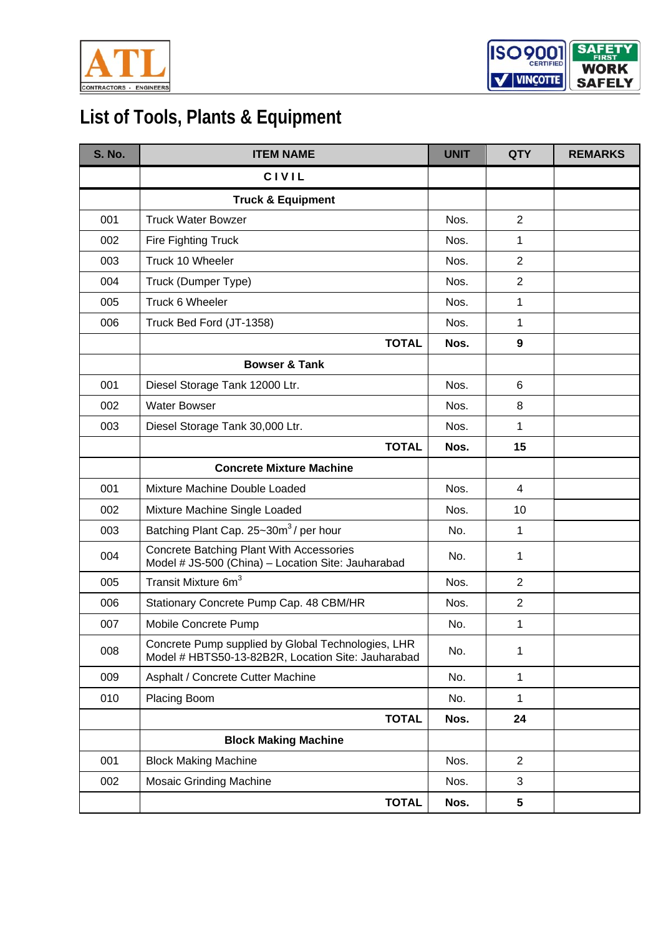



| <b>S. No.</b> | <b>ITEM NAME</b>                                                                                         | <b>UNIT</b> | <b>QTY</b>     | <b>REMARKS</b> |
|---------------|----------------------------------------------------------------------------------------------------------|-------------|----------------|----------------|
|               | <b>CIVIL</b>                                                                                             |             |                |                |
|               | <b>Truck &amp; Equipment</b>                                                                             |             |                |                |
| 001           | <b>Truck Water Bowzer</b>                                                                                | Nos.        | $\overline{2}$ |                |
| 002           | <b>Fire Fighting Truck</b>                                                                               | Nos.        | 1              |                |
| 003           | Truck 10 Wheeler                                                                                         | Nos.        | $\overline{2}$ |                |
| 004           | Truck (Dumper Type)                                                                                      | Nos.        | $\overline{2}$ |                |
| 005           | Truck 6 Wheeler                                                                                          | Nos.        | $\mathbf{1}$   |                |
| 006           | Truck Bed Ford (JT-1358)                                                                                 | Nos.        | $\mathbf{1}$   |                |
|               | <b>TOTAL</b>                                                                                             | Nos.        | 9              |                |
|               | <b>Bowser &amp; Tank</b>                                                                                 |             |                |                |
| 001           | Diesel Storage Tank 12000 Ltr.                                                                           | Nos.        | 6              |                |
| 002           | <b>Water Bowser</b>                                                                                      | Nos.        | 8              |                |
| 003           | Diesel Storage Tank 30,000 Ltr.                                                                          | Nos.        | $\mathbf{1}$   |                |
|               | <b>TOTAL</b>                                                                                             | Nos.        | 15             |                |
|               | <b>Concrete Mixture Machine</b>                                                                          |             |                |                |
| 001           | Mixture Machine Double Loaded                                                                            | Nos.        | 4              |                |
| 002           | Mixture Machine Single Loaded                                                                            | Nos.        | 10             |                |
| 003           | Batching Plant Cap. 25~30m <sup>3</sup> / per hour                                                       | No.         | 1              |                |
| 004           | Concrete Batching Plant With Accessories<br>Model # JS-500 (China) - Location Site: Jauharabad           | No.         | 1              |                |
| 005           | Transit Mixture 6m <sup>3</sup>                                                                          | Nos.        | $\overline{2}$ |                |
| 006           | Stationary Concrete Pump Cap. 48 CBM/HR                                                                  | Nos.        | $\overline{2}$ |                |
| 007           | Mobile Concrete Pump                                                                                     | No.         | 1              |                |
| 008           | Concrete Pump supplied by Global Technologies, LHR<br>Model # HBTS50-13-82B2R, Location Site: Jauharabad | No.         | 1              |                |
| 009           | Asphalt / Concrete Cutter Machine                                                                        | No.         | $\mathbf{1}$   |                |
| 010           | Placing Boom                                                                                             | No.         | $\mathbf{1}$   |                |
|               | <b>TOTAL</b>                                                                                             | Nos.        | 24             |                |
|               | <b>Block Making Machine</b>                                                                              |             |                |                |
| 001           | <b>Block Making Machine</b>                                                                              | Nos.        | $\overline{2}$ |                |
| 002           | <b>Mosaic Grinding Machine</b>                                                                           | Nos.        | 3              |                |
|               | <b>TOTAL</b>                                                                                             | Nos.        | 5              |                |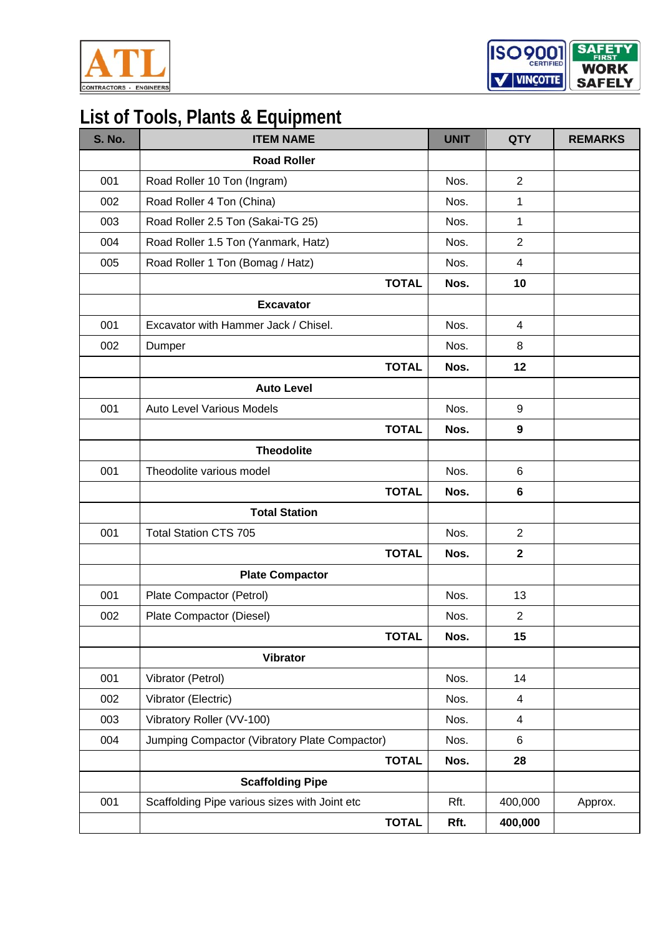

ISO<sub>9001</sub> **SAFE** WORK V | VINCOTTE **SAFELY** 

| <b>S. No.</b> | <b>ITEM NAME</b>                              | <b>UNIT</b> | <b>QTY</b>     | <b>REMARKS</b> |
|---------------|-----------------------------------------------|-------------|----------------|----------------|
|               | <b>Road Roller</b>                            |             |                |                |
| 001           | Road Roller 10 Ton (Ingram)                   | Nos.        | 2              |                |
| 002           | Road Roller 4 Ton (China)                     | Nos.        | 1              |                |
| 003           | Road Roller 2.5 Ton (Sakai-TG 25)             | Nos.        | 1              |                |
| 004           | Road Roller 1.5 Ton (Yanmark, Hatz)           | Nos.        | $\overline{2}$ |                |
| 005           | Road Roller 1 Ton (Bomag / Hatz)              | Nos.        | $\overline{4}$ |                |
|               | <b>TOTAL</b>                                  | Nos.        | 10             |                |
|               | <b>Excavator</b>                              |             |                |                |
| 001           | Excavator with Hammer Jack / Chisel.          | Nos.        | $\overline{4}$ |                |
| 002           | Dumper                                        | Nos.        | 8              |                |
|               | <b>TOTAL</b>                                  | Nos.        | 12             |                |
|               | <b>Auto Level</b>                             |             |                |                |
| 001           | <b>Auto Level Various Models</b>              | Nos.        | 9              |                |
|               | <b>TOTAL</b>                                  | Nos.        | 9              |                |
|               | <b>Theodolite</b>                             |             |                |                |
| 001           | Theodolite various model                      | Nos.        | 6              |                |
|               | <b>TOTAL</b>                                  | Nos.        | $6\phantom{1}$ |                |
|               | <b>Total Station</b>                          |             |                |                |
| 001           | <b>Total Station CTS 705</b>                  | Nos.        | $\overline{2}$ |                |
|               | <b>TOTAL</b>                                  | Nos.        | $\mathbf{2}$   |                |
|               | <b>Plate Compactor</b>                        |             |                |                |
| 001           | Plate Compactor (Petrol)                      | Nos.        | 13             |                |
| 002           | Plate Compactor (Diesel)                      | Nos.        | $\overline{2}$ |                |
|               | <b>TOTAL</b>                                  | Nos.        | 15             |                |
|               | <b>Vibrator</b>                               |             |                |                |
| 001           | Vibrator (Petrol)                             | Nos.        | 14             |                |
| 002           | Vibrator (Electric)                           | Nos.        | $\overline{4}$ |                |
| 003           | Vibratory Roller (VV-100)                     | Nos.        | $\overline{4}$ |                |
| 004           | Jumping Compactor (Vibratory Plate Compactor) | Nos.        | 6              |                |
|               | <b>TOTAL</b>                                  | Nos.        | 28             |                |
|               | <b>Scaffolding Pipe</b>                       |             |                |                |
| 001           | Scaffolding Pipe various sizes with Joint etc | Rft.        | 400,000        | Approx.        |
|               | <b>TOTAL</b>                                  | Rft.        | 400,000        |                |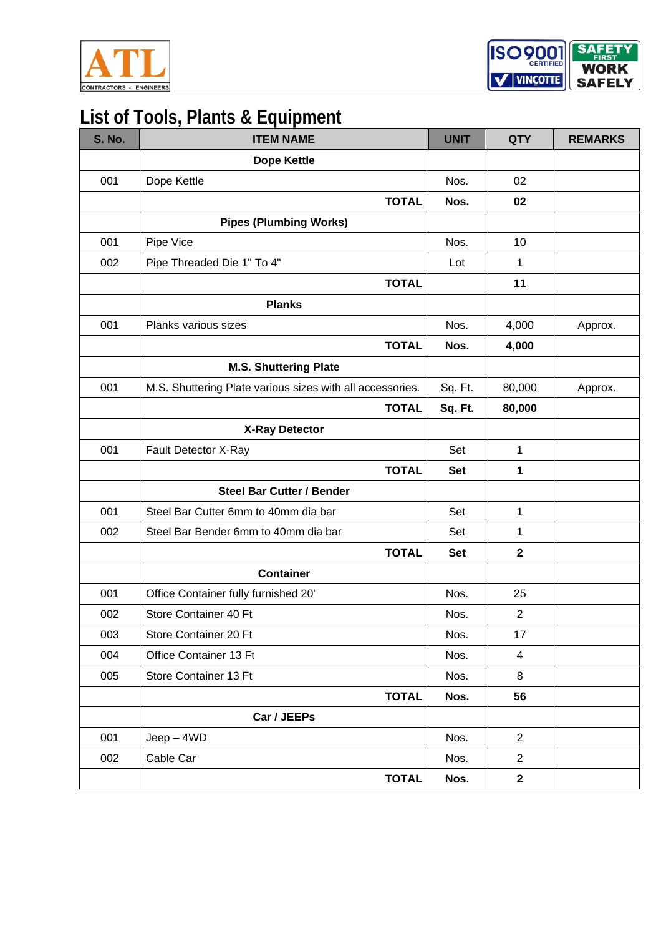



| <b>S. No.</b> | <b>ITEM NAME</b>                                          | <b>UNIT</b> | <b>QTY</b>     | <b>REMARKS</b> |
|---------------|-----------------------------------------------------------|-------------|----------------|----------------|
|               | <b>Dope Kettle</b>                                        |             |                |                |
| 001           | Dope Kettle                                               | Nos.        | 02             |                |
|               | <b>TOTAL</b>                                              | Nos.        | 02             |                |
|               | <b>Pipes (Plumbing Works)</b>                             |             |                |                |
| 001           | Pipe Vice                                                 | Nos.        | 10             |                |
| 002           | Pipe Threaded Die 1" To 4"                                | Lot         | $\mathbf{1}$   |                |
|               | <b>TOTAL</b>                                              |             | 11             |                |
|               | <b>Planks</b>                                             |             |                |                |
| 001           | Planks various sizes                                      | Nos.        | 4,000          | Approx.        |
|               | <b>TOTAL</b>                                              | Nos.        | 4,000          |                |
|               | <b>M.S. Shuttering Plate</b>                              |             |                |                |
| 001           | M.S. Shuttering Plate various sizes with all accessories. | Sq. Ft.     | 80,000         | Approx.        |
|               | <b>TOTAL</b>                                              | Sq. Ft.     | 80,000         |                |
|               | <b>X-Ray Detector</b>                                     |             |                |                |
| 001           | Fault Detector X-Ray                                      | Set         | $\mathbf{1}$   |                |
|               | <b>TOTAL</b>                                              | <b>Set</b>  | 1              |                |
|               | <b>Steel Bar Cutter / Bender</b>                          |             |                |                |
| 001           | Steel Bar Cutter 6mm to 40mm dia bar                      | Set         | 1              |                |
| 002           | Steel Bar Bender 6mm to 40mm dia bar                      | Set         | 1              |                |
|               | <b>TOTAL</b>                                              | <b>Set</b>  | $\mathbf 2$    |                |
|               | <b>Container</b>                                          |             |                |                |
| 001           | Office Container fully furnished 20'                      | Nos.        | 25             |                |
| 002           | Store Container 40 Ft                                     | Nos.        | $\overline{2}$ |                |
| 003           | Store Container 20 Ft                                     | Nos.        | 17             |                |
| 004           | Office Container 13 Ft                                    | Nos.        | $\overline{4}$ |                |
| 005           | Store Container 13 Ft                                     | Nos.        | 8              |                |
|               | <b>TOTAL</b>                                              | Nos.        | 56             |                |
|               | Car / JEEPs                                               |             |                |                |
| 001           | $Jeep-4WD$                                                | Nos.        | 2              |                |
| 002           | Cable Car                                                 | Nos.        | 2              |                |
|               | <b>TOTAL</b>                                              | Nos.        | $\mathbf 2$    |                |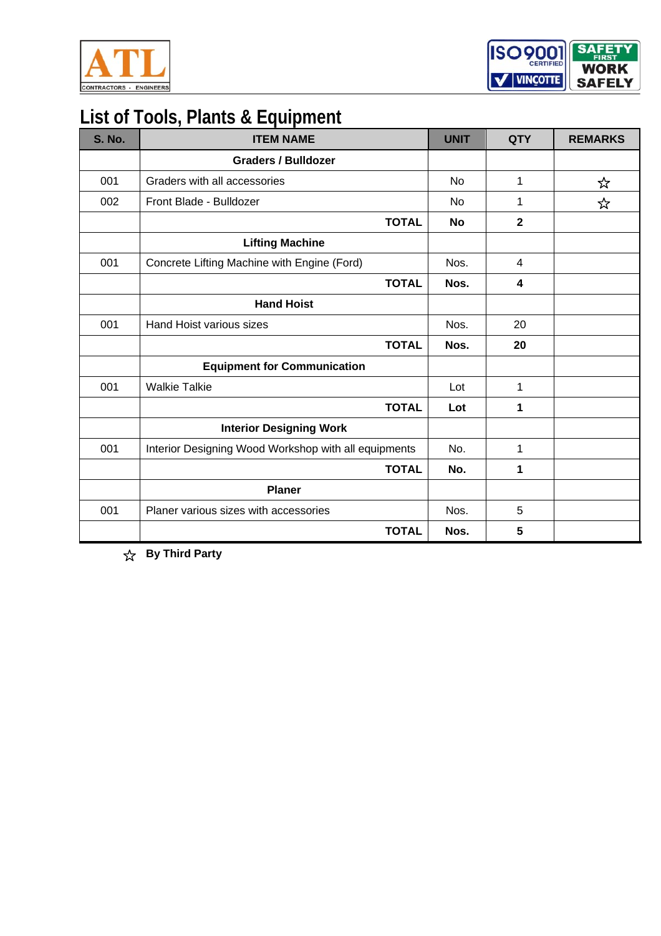



| <b>S. No.</b> | <b>ITEM NAME</b>                                     | <b>UNIT</b> | <b>QTY</b>     | <b>REMARKS</b> |
|---------------|------------------------------------------------------|-------------|----------------|----------------|
|               | <b>Graders / Bulldozer</b>                           |             |                |                |
| 001           | Graders with all accessories                         | <b>No</b>   | 1              | ☆              |
| 002           | Front Blade - Bulldozer                              | No          | 1              | ☆              |
|               | <b>TOTAL</b>                                         | No          | $\overline{2}$ |                |
|               | <b>Lifting Machine</b>                               |             |                |                |
| 001           | Concrete Lifting Machine with Engine (Ford)          | Nos.        | 4              |                |
|               | <b>TOTAL</b>                                         | Nos.        | 4              |                |
|               | <b>Hand Hoist</b>                                    |             |                |                |
| 001           | Hand Hoist various sizes                             | Nos.        | 20             |                |
|               | <b>TOTAL</b>                                         | Nos.        | 20             |                |
|               | <b>Equipment for Communication</b>                   |             |                |                |
| 001           | <b>Walkie Talkie</b>                                 | Lot         | 1              |                |
|               | <b>TOTAL</b>                                         | Lot         | 1              |                |
|               | <b>Interior Designing Work</b>                       |             |                |                |
| 001           | Interior Designing Wood Workshop with all equipments | No.         | 1              |                |
|               | <b>TOTAL</b>                                         | No.         | 1              |                |
|               | <b>Planer</b>                                        |             |                |                |
| 001           | Planer various sizes with accessories                | Nos.        | 5              |                |
|               | <b>TOTAL</b>                                         | Nos.        | 5              |                |

**By Third Party**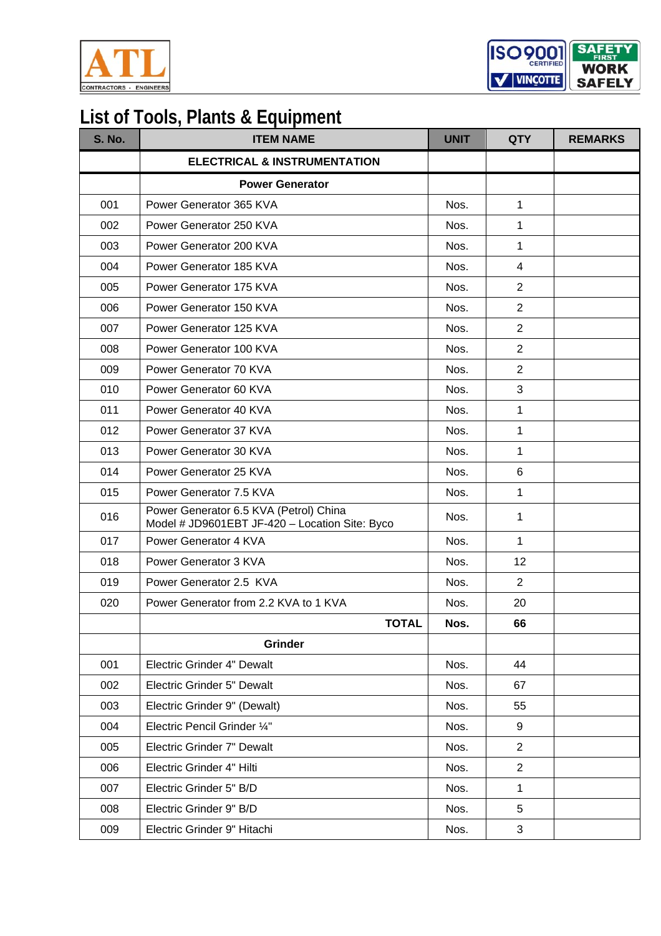

ISO<sub>9001</sub> **SAFE WORK** V VINCOTTE **SAFELY** 

| <b>S. No.</b> | <b>ITEM NAME</b>                                                                         | <b>UNIT</b> | <b>QTY</b>     | <b>REMARKS</b> |
|---------------|------------------------------------------------------------------------------------------|-------------|----------------|----------------|
|               | <b>ELECTRICAL &amp; INSTRUMENTATION</b>                                                  |             |                |                |
|               | <b>Power Generator</b>                                                                   |             |                |                |
| 001           | Power Generator 365 KVA                                                                  | Nos.        | $\mathbf{1}$   |                |
| 002           | Power Generator 250 KVA                                                                  | Nos.        | 1              |                |
| 003           | Power Generator 200 KVA                                                                  | Nos.        | 1              |                |
| 004           | Power Generator 185 KVA                                                                  | Nos.        | $\overline{4}$ |                |
| 005           | Power Generator 175 KVA                                                                  | Nos.        | 2              |                |
| 006           | Power Generator 150 KVA                                                                  | Nos.        | 2              |                |
| 007           | Power Generator 125 KVA                                                                  | Nos.        | 2              |                |
| 008           | Power Generator 100 KVA                                                                  | Nos.        | $\overline{2}$ |                |
| 009           | Power Generator 70 KVA                                                                   | Nos.        | $\overline{2}$ |                |
| 010           | Power Generator 60 KVA                                                                   | Nos.        | 3              |                |
| 011           | Power Generator 40 KVA                                                                   | Nos.        | 1              |                |
| 012           | Power Generator 37 KVA                                                                   | Nos.        | 1              |                |
| 013           | Power Generator 30 KVA                                                                   | Nos.        | 1              |                |
| 014           | Power Generator 25 KVA                                                                   | Nos.        | 6              |                |
| 015           | Power Generator 7.5 KVA                                                                  | Nos.        | 1              |                |
| 016           | Power Generator 6.5 KVA (Petrol) China<br>Model # JD9601EBT JF-420 - Location Site: Byco | Nos.        | 1              |                |
| 017           | Power Generator 4 KVA                                                                    | Nos.        | 1              |                |
| 018           | Power Generator 3 KVA                                                                    | Nos.        | 12             |                |
| 019           | Power Generator 2.5 KVA                                                                  | Nos.        | 2              |                |
| 020           | Power Generator from 2.2 KVA to 1 KVA                                                    | Nos.        | 20             |                |
|               | <b>TOTAL</b>                                                                             | Nos.        | 66             |                |
|               | <b>Grinder</b>                                                                           |             |                |                |
| 001           | Electric Grinder 4" Dewalt                                                               | Nos.        | 44             |                |
| 002           | Electric Grinder 5" Dewalt                                                               | Nos.        | 67             |                |
| 003           | Electric Grinder 9" (Dewalt)                                                             | Nos.        | 55             |                |
| 004           | Electric Pencil Grinder 1/4"                                                             | Nos.        | 9              |                |
| 005           | Electric Grinder 7" Dewalt                                                               | Nos.        | $\overline{2}$ |                |
| 006           | Electric Grinder 4" Hilti                                                                | Nos.        | 2              |                |
| 007           | Electric Grinder 5" B/D                                                                  | Nos.        | $\mathbf{1}$   |                |
| 008           | Electric Grinder 9" B/D                                                                  | Nos.        | 5              |                |
| 009           | Electric Grinder 9" Hitachi                                                              | Nos.        | 3              |                |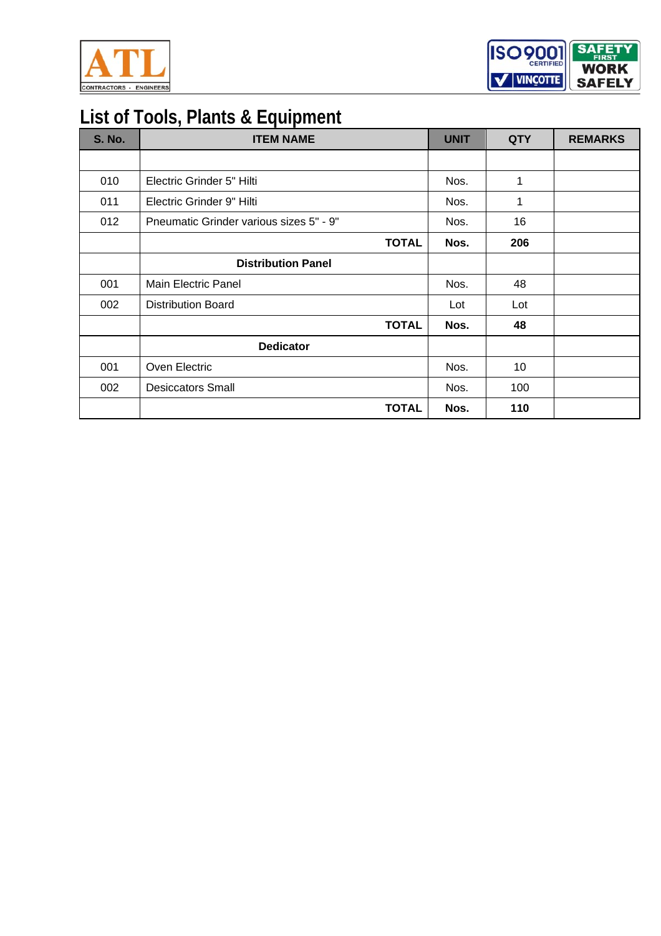



| <b>S. No.</b> | <b>ITEM NAME</b>                        | <b>UNIT</b> | <b>QTY</b> | <b>REMARKS</b> |
|---------------|-----------------------------------------|-------------|------------|----------------|
|               |                                         |             |            |                |
| 010           | Electric Grinder 5" Hilti               | Nos.        | 1          |                |
| 011           | Electric Grinder 9" Hilti               | Nos.        | 1          |                |
| 012           | Pneumatic Grinder various sizes 5" - 9" | Nos.        | 16         |                |
|               | <b>TOTAL</b>                            | Nos.        | 206        |                |
|               | <b>Distribution Panel</b>               |             |            |                |
| 001           | Main Electric Panel                     | Nos.        | 48         |                |
| 002           | <b>Distribution Board</b>               | Lot         | Lot        |                |
|               | <b>TOTAL</b>                            | Nos.        | 48         |                |
|               | <b>Dedicator</b>                        |             |            |                |
| 001           | Oven Electric                           | Nos.        | 10         |                |
| 002           | <b>Desiccators Small</b>                | Nos.        | 100        |                |
|               | <b>TOTAL</b>                            | Nos.        | 110        |                |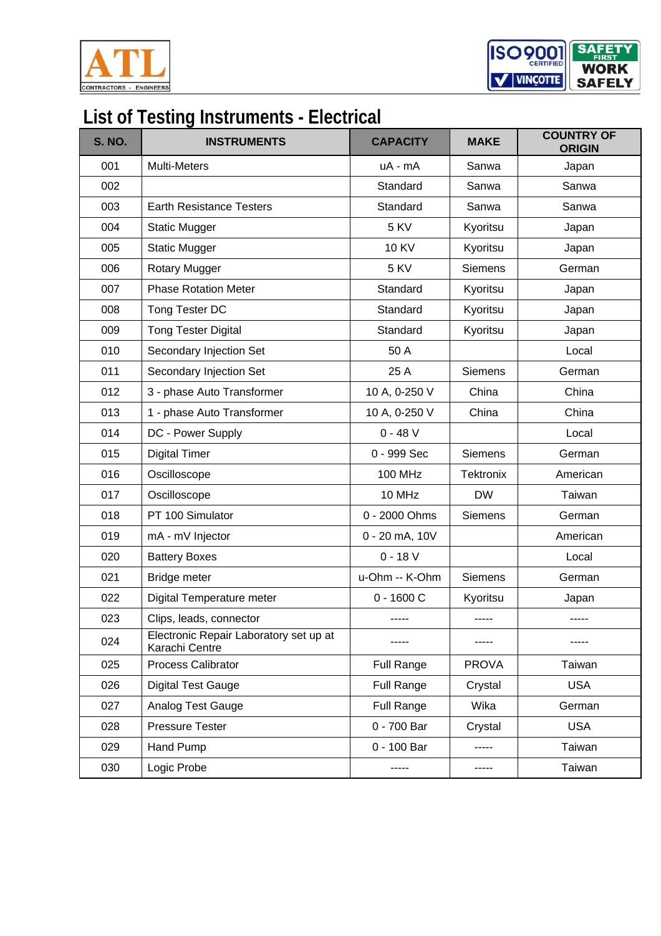

ISO 9001 **SAFE WORK** V VINCOTTE **SAFELY** 

## **List of Testing Instruments - Electrical**

| <b>S. NO.</b> | <b>INSTRUMENTS</b>                                       | <b>CAPACITY</b> | <b>MAKE</b>      | <b>COUNTRY OF</b><br><b>ORIGIN</b> |
|---------------|----------------------------------------------------------|-----------------|------------------|------------------------------------|
| 001           | <b>Multi-Meters</b>                                      | uA - mA         | Sanwa            | Japan                              |
| 002           |                                                          | Standard        | Sanwa            | Sanwa                              |
| 003           | <b>Earth Resistance Testers</b>                          | Standard        | Sanwa            | Sanwa                              |
| 004           | <b>Static Mugger</b>                                     | 5 KV            | Kyoritsu         | Japan                              |
| 005           | <b>Static Mugger</b>                                     | <b>10 KV</b>    | Kyoritsu         | Japan                              |
| 006           | <b>Rotary Mugger</b>                                     | 5 KV            | <b>Siemens</b>   | German                             |
| 007           | <b>Phase Rotation Meter</b>                              | Standard        | Kyoritsu         | Japan                              |
| 008           | Tong Tester DC                                           | Standard        | Kyoritsu         | Japan                              |
| 009           | <b>Tong Tester Digital</b>                               | Standard        | Kyoritsu         | Japan                              |
| 010           | Secondary Injection Set                                  | 50 A            |                  | Local                              |
| 011           | Secondary Injection Set                                  | 25 A            | Siemens          | German                             |
| 012           | 3 - phase Auto Transformer                               | 10 A, 0-250 V   | China            | China                              |
| 013           | 1 - phase Auto Transformer                               | 10 A, 0-250 V   | China            | China                              |
| 014           | DC - Power Supply                                        | $0 - 48 V$      |                  | Local                              |
| 015           | <b>Digital Timer</b>                                     | 0 - 999 Sec     | <b>Siemens</b>   | German                             |
| 016           | Oscilloscope                                             | <b>100 MHz</b>  | <b>Tektronix</b> | American                           |
| 017           | Oscilloscope                                             | 10 MHz          | <b>DW</b>        | Taiwan                             |
| 018           | PT 100 Simulator                                         | 0 - 2000 Ohms   | Siemens          | German                             |
| 019           | mA - mV Injector                                         | 0 - 20 mA, 10V  |                  | American                           |
| 020           | <b>Battery Boxes</b>                                     | $0 - 18 V$      |                  | Local                              |
| 021           | Bridge meter                                             | u-Ohm -- K-Ohm  | <b>Siemens</b>   | German                             |
| 022           | Digital Temperature meter                                | $0 - 1600C$     | Kyoritsu         | Japan                              |
| 023           | Clips, leads, connector                                  | -----           | -----            | -----                              |
| 024           | Electronic Repair Laboratory set up at<br>Karachi Centre |                 |                  |                                    |
| 025           | Process Calibrator                                       | Full Range      | <b>PROVA</b>     | Taiwan                             |
| 026           | <b>Digital Test Gauge</b>                                | Full Range      | Crystal          | <b>USA</b>                         |
| 027           | Analog Test Gauge                                        | Full Range      | Wika             | German                             |
| 028           | <b>Pressure Tester</b>                                   | 0 - 700 Bar     | Crystal          | <b>USA</b>                         |
| 029           | Hand Pump                                                | 0 - 100 Bar     | -----            | Taiwan                             |
| 030           | Logic Probe                                              |                 |                  | Taiwan                             |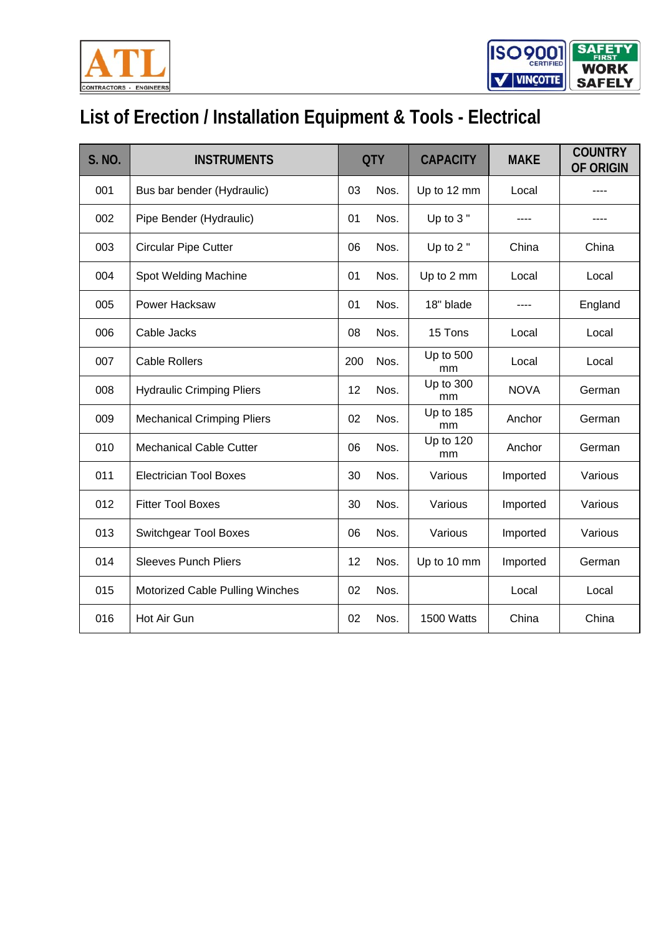



# **List of Erection / Installation Equipment & Tools - Electrical**

| S. NO. | <b>INSTRUMENTS</b>                |     | <b>QTY</b> | <b>CAPACITY</b>        | <b>MAKE</b> | <b>COUNTRY</b><br><b>OF ORIGIN</b> |
|--------|-----------------------------------|-----|------------|------------------------|-------------|------------------------------------|
| 001    | Bus bar bender (Hydraulic)        | 03  | Nos.       | Up to 12 mm            | Local       |                                    |
| 002    | Pipe Bender (Hydraulic)           | 01  | Nos.       | Up to 3"               |             |                                    |
| 003    | <b>Circular Pipe Cutter</b>       | 06  | Nos.       | Up to 2"               | China       | China                              |
| 004    | Spot Welding Machine              | 01  | Nos.       | Up to 2 mm             | Local       | Local                              |
| 005    | Power Hacksaw                     | 01  | Nos.       | 18" blade              |             | England                            |
| 006    | Cable Jacks                       | 08  | Nos.       | 15 Tons                | Local       | Local                              |
| 007    | <b>Cable Rollers</b>              | 200 | Nos.       | Up to 500<br>mm        | Local       | Local                              |
| 008    | <b>Hydraulic Crimping Pliers</b>  | 12  | Nos.       | Up to 300<br>mm        | <b>NOVA</b> | German                             |
| 009    | <b>Mechanical Crimping Pliers</b> | 02  | Nos.       | <b>Up to 185</b><br>mm | Anchor      | German                             |
| 010    | <b>Mechanical Cable Cutter</b>    | 06  | Nos.       | <b>Up to 120</b><br>mm | Anchor      | German                             |
| 011    | <b>Electrician Tool Boxes</b>     | 30  | Nos.       | Various                | Imported    | Various                            |
| 012    | <b>Fitter Tool Boxes</b>          | 30  | Nos.       | Various                | Imported    | Various                            |
| 013    | <b>Switchgear Tool Boxes</b>      | 06  | Nos.       | Various                | Imported    | Various                            |
| 014    | <b>Sleeves Punch Pliers</b>       | 12  | Nos.       | Up to 10 mm            | Imported    | German                             |
| 015    | Motorized Cable Pulling Winches   | 02  | Nos.       |                        | Local       | Local                              |
| 016    | Hot Air Gun                       | 02  | Nos.       | 1500 Watts             | China       | China                              |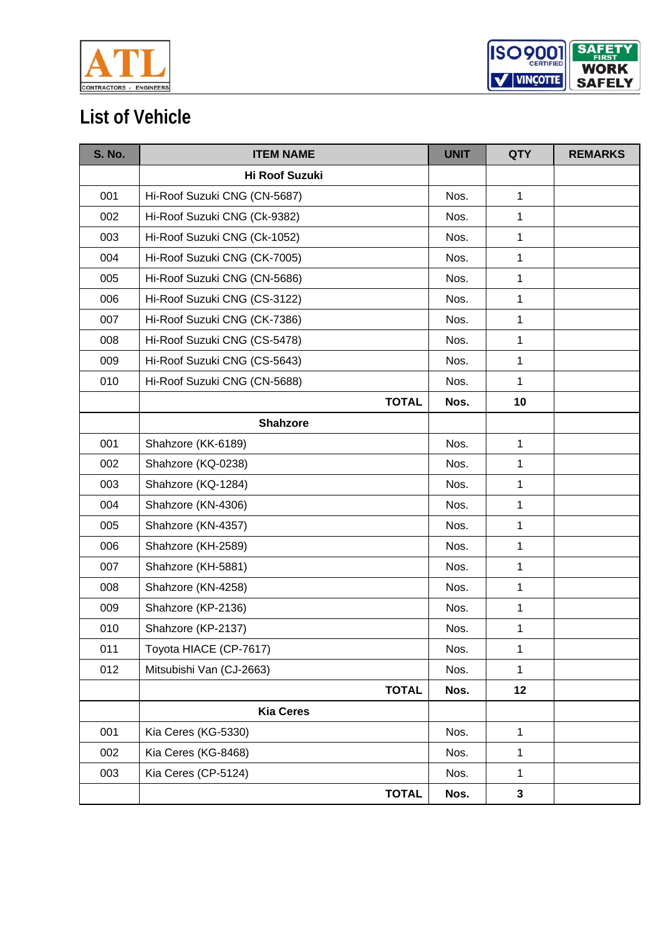



## **List of Vehicle**

| <b>S. No.</b> | <b>ITEM NAME</b>             | <b>UNIT</b> | <b>QTY</b>   | <b>REMARKS</b> |
|---------------|------------------------------|-------------|--------------|----------------|
|               | Hi Roof Suzuki               |             |              |                |
| 001           | Hi-Roof Suzuki CNG (CN-5687) | Nos.        | $\mathbf{1}$ |                |
| 002           | Hi-Roof Suzuki CNG (Ck-9382) | Nos.        | $\mathbf{1}$ |                |
| 003           | Hi-Roof Suzuki CNG (Ck-1052) | Nos.        | $\mathbf{1}$ |                |
| 004           | Hi-Roof Suzuki CNG (CK-7005) | Nos.        | $\mathbf{1}$ |                |
| 005           | Hi-Roof Suzuki CNG (CN-5686) | Nos.        | $\mathbf{1}$ |                |
| 006           | Hi-Roof Suzuki CNG (CS-3122) | Nos.        | $\mathbf 1$  |                |
| 007           | Hi-Roof Suzuki CNG (CK-7386) | Nos.        | $\mathbf{1}$ |                |
| 008           | Hi-Roof Suzuki CNG (CS-5478) | Nos.        | $\mathbf{1}$ |                |
| 009           | Hi-Roof Suzuki CNG (CS-5643) | Nos.        | 1            |                |
| 010           | Hi-Roof Suzuki CNG (CN-5688) | Nos.        | $\mathbf{1}$ |                |
|               | <b>TOTAL</b>                 | Nos.        | 10           |                |
|               | <b>Shahzore</b>              |             |              |                |
| 001           | Shahzore (KK-6189)           | Nos.        | $\mathbf{1}$ |                |
| 002           | Shahzore (KQ-0238)           | Nos.        | $\mathbf 1$  |                |
| 003           | Shahzore (KQ-1284)           | Nos.        | $\mathbf{1}$ |                |
| 004           | Shahzore (KN-4306)           | Nos.        | $\mathbf{1}$ |                |
| 005           | Shahzore (KN-4357)           | Nos.        | $\mathbf{1}$ |                |
| 006           | Shahzore (KH-2589)           | Nos.        | $\mathbf{1}$ |                |
| 007           | Shahzore (KH-5881)           | Nos.        | $\mathbf{1}$ |                |
| 008           | Shahzore (KN-4258)           | Nos.        | 1            |                |
| 009           | Shahzore (KP-2136)           | Nos.        | $\mathbf{1}$ |                |
| 010           | Shahzore (KP-2137)           | Nos.        | $\mathbf{1}$ |                |
| 011           | Toyota HIACE (CP-7617)       | Nos.        | $\mathbf{1}$ |                |
| 012           | Mitsubishi Van (CJ-2663)     | Nos.        | $\mathbf{1}$ |                |
|               | <b>TOTAL</b>                 | Nos.        | 12           |                |
|               | <b>Kia Ceres</b>             |             |              |                |
| 001           | Kia Ceres (KG-5330)          | Nos.        | $\mathbf{1}$ |                |
| 002           | Kia Ceres (KG-8468)          | Nos.        | $\mathbf{1}$ |                |
| 003           | Kia Ceres (CP-5124)          | Nos.        | $\mathbf{1}$ |                |
|               | <b>TOTAL</b>                 | Nos.        | $\mathbf{3}$ |                |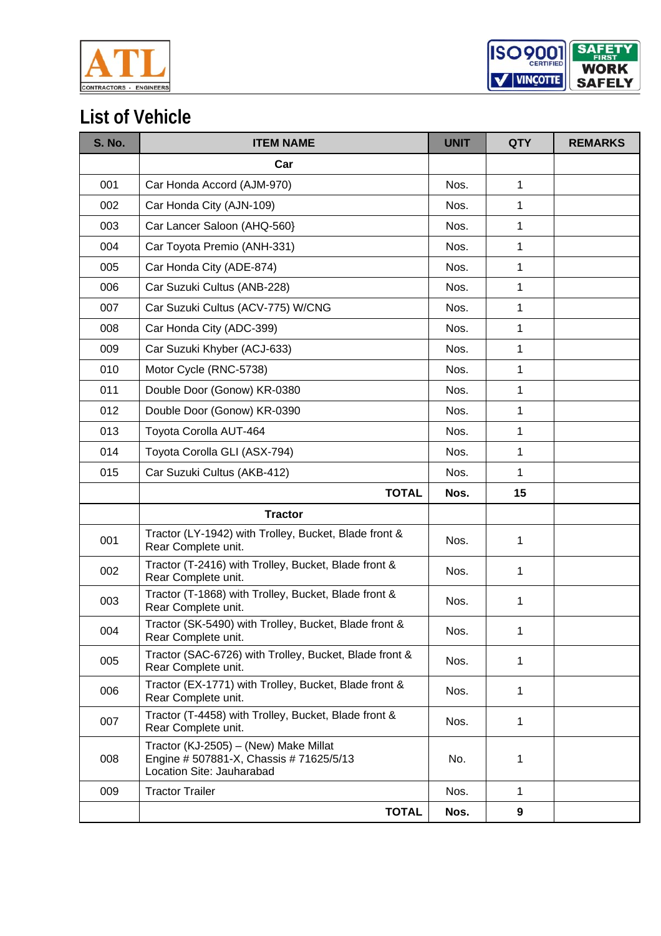



## **List of Vehicle**

| <b>S. No.</b> | <b>ITEM NAME</b>                                                                                              | <b>UNIT</b> | <b>QTY</b>       | <b>REMARKS</b> |
|---------------|---------------------------------------------------------------------------------------------------------------|-------------|------------------|----------------|
|               | Car                                                                                                           |             |                  |                |
| 001           | Car Honda Accord (AJM-970)                                                                                    | Nos.        | 1                |                |
| 002           | Car Honda City (AJN-109)                                                                                      | Nos.        | 1                |                |
| 003           | Car Lancer Saloon (AHQ-560)                                                                                   | Nos.        | 1                |                |
| 004           | Car Toyota Premio (ANH-331)                                                                                   | Nos.        | 1                |                |
| 005           | Car Honda City (ADE-874)                                                                                      | Nos.        | 1                |                |
| 006           | Car Suzuki Cultus (ANB-228)                                                                                   | Nos.        | 1                |                |
| 007           | Car Suzuki Cultus (ACV-775) W/CNG                                                                             | Nos.        | 1                |                |
| 008           | Car Honda City (ADC-399)                                                                                      | Nos.        | 1                |                |
| 009           | Car Suzuki Khyber (ACJ-633)                                                                                   | Nos.        | $\mathbf{1}$     |                |
| 010           | Motor Cycle (RNC-5738)                                                                                        | Nos.        | 1                |                |
| 011           | Double Door (Gonow) KR-0380                                                                                   | Nos.        | 1                |                |
| 012           | Double Door (Gonow) KR-0390                                                                                   | Nos.        | 1                |                |
| 013           | Toyota Corolla AUT-464                                                                                        | Nos.        | 1                |                |
| 014           | Toyota Corolla GLI (ASX-794)                                                                                  | Nos.        | 1                |                |
| 015           | Car Suzuki Cultus (AKB-412)                                                                                   | Nos.        | 1                |                |
|               | <b>TOTAL</b>                                                                                                  | Nos.        | 15               |                |
|               | <b>Tractor</b>                                                                                                |             |                  |                |
| 001           | Tractor (LY-1942) with Trolley, Bucket, Blade front &<br>Rear Complete unit.                                  | Nos.        | 1                |                |
| 002           | Tractor (T-2416) with Trolley, Bucket, Blade front &<br>Rear Complete unit.                                   | Nos.        | 1                |                |
| 003           | Tractor (T-1868) with Trolley, Bucket, Blade front &<br>Rear Complete unit.                                   | Nos.        | 1                |                |
| 004           | Tractor (SK-5490) with Trolley, Bucket, Blade front &<br>Rear Complete unit.                                  | Nos.        | 1                |                |
| 005           | Tractor (SAC-6726) with Trolley, Bucket, Blade front &<br>Rear Complete unit.                                 | Nos.        | 1                |                |
| 006           | Tractor (EX-1771) with Trolley, Bucket, Blade front &<br>Rear Complete unit.                                  | Nos.        | 1                |                |
| 007           | Tractor (T-4458) with Trolley, Bucket, Blade front &<br>Rear Complete unit.                                   | Nos.        | 1                |                |
| 008           | Tractor (KJ-2505) - (New) Make Millat<br>Engine # 507881-X, Chassis # 71625/5/13<br>Location Site: Jauharabad | No.         | 1                |                |
| 009           | <b>Tractor Trailer</b>                                                                                        | Nos.        | 1                |                |
|               | <b>TOTAL</b>                                                                                                  | Nos.        | $\boldsymbol{9}$ |                |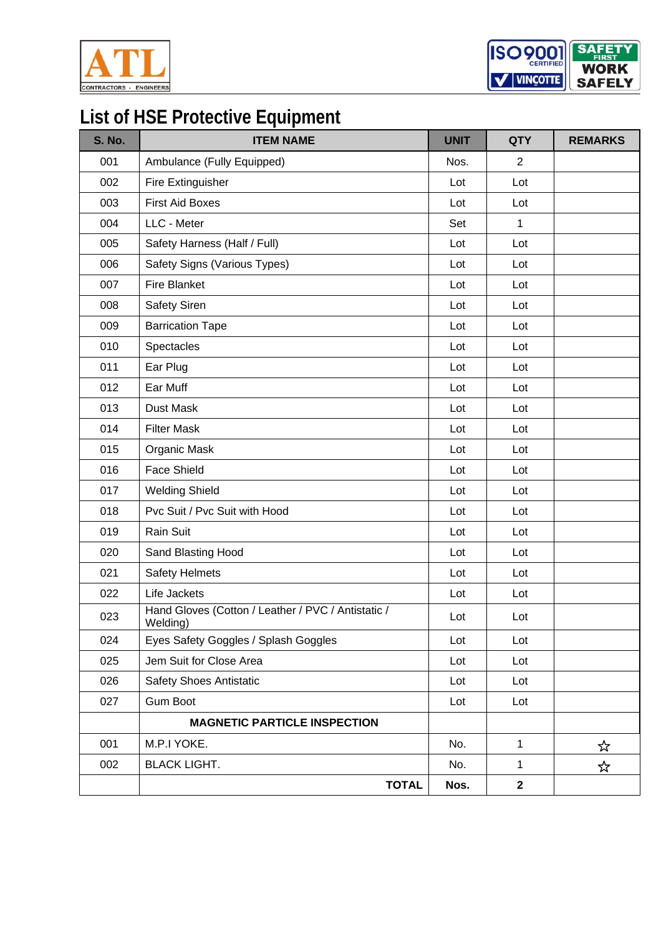



## **List of HSE Protective Equipment**

| <b>S. No.</b> | <b>ITEM NAME</b>                                               | <b>UNIT</b> | <b>QTY</b>       | <b>REMARKS</b> |
|---------------|----------------------------------------------------------------|-------------|------------------|----------------|
| 001           | Ambulance (Fully Equipped)                                     | Nos.        | $\overline{2}$   |                |
| 002           | Fire Extinguisher                                              | Lot         | Lot              |                |
| 003           | <b>First Aid Boxes</b>                                         | Lot         | Lot              |                |
| 004           | LLC - Meter                                                    | Set         | $\mathbf{1}$     |                |
| 005           | Safety Harness (Half / Full)                                   | Lot         | Lot              |                |
| 006           | Safety Signs (Various Types)                                   | Lot         | Lot              |                |
| 007           | <b>Fire Blanket</b>                                            | Lot         | Lot              |                |
| 008           | Safety Siren                                                   | Lot         | Lot              |                |
| 009           | <b>Barrication Tape</b>                                        | Lot         | Lot              |                |
| 010           | Spectacles                                                     | Lot         | Lot              |                |
| 011           | Ear Plug                                                       | Lot         | Lot              |                |
| 012           | Ear Muff                                                       | Lot         | Lot              |                |
| 013           | Dust Mask                                                      | Lot         | Lot              |                |
| 014           | <b>Filter Mask</b>                                             | Lot         | Lot              |                |
| 015           | Organic Mask                                                   | Lot         | Lot              |                |
| 016           | <b>Face Shield</b>                                             | Lot         | Lot              |                |
| 017           | <b>Welding Shield</b>                                          | Lot         | Lot              |                |
| 018           | Pvc Suit / Pvc Suit with Hood                                  | Lot         | Lot              |                |
| 019           | Rain Suit                                                      | Lot         | Lot              |                |
| 020           | Sand Blasting Hood                                             | Lot         | Lot              |                |
| 021           | <b>Safety Helmets</b>                                          | Lot         | Lot              |                |
| 022           | Life Jackets                                                   | Lot         | Lot              |                |
| 023           | Hand Gloves (Cotton / Leather / PVC / Antistatic /<br>Welding) | Lot         | Lot              |                |
| 024           | Eyes Safety Goggles / Splash Goggles                           | Lot         | Lot              |                |
| 025           | Jem Suit for Close Area                                        | Lot         | Lot              |                |
| 026           | Safety Shoes Antistatic                                        | Lot         | Lot              |                |
| 027           | <b>Gum Boot</b>                                                | Lot         | Lot              |                |
|               | <b>MAGNETIC PARTICLE INSPECTION</b>                            |             |                  |                |
| 001           | M.P.I YOKE.                                                    | No.         | $\mathbf{1}$     | ☆              |
| 002           | <b>BLACK LIGHT.</b>                                            | No.         | $\mathbf 1$      | ☆              |
|               | <b>TOTAL</b>                                                   | Nos.        | $\boldsymbol{2}$ |                |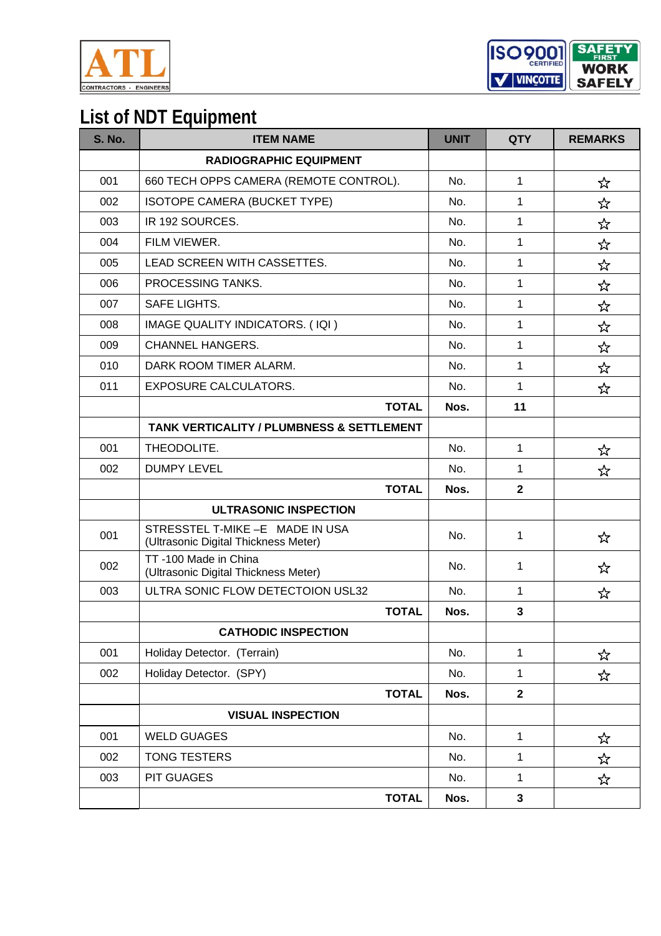

**SAFET** ISO<sub>2001</sub> **WORK** V VINCOTTE **SAFELY** 

### **List of NDT Equipment**

| <b>S. No.</b> | <b>ITEM NAME</b>                                                         | <b>UNIT</b> | <b>QTY</b>   | <b>REMARKS</b> |
|---------------|--------------------------------------------------------------------------|-------------|--------------|----------------|
|               | <b>RADIOGRAPHIC EQUIPMENT</b>                                            |             |              |                |
| 001           | 660 TECH OPPS CAMERA (REMOTE CONTROL).                                   | No.         | 1            | ☆              |
| 002           | ISOTOPE CAMERA (BUCKET TYPE)                                             | No.         | 1            | ☆              |
| 003           | IR 192 SOURCES.                                                          | No.         | 1            | ☆              |
| 004           | FILM VIEWER.                                                             | No.         | 1            | ☆              |
| 005           | LEAD SCREEN WITH CASSETTES.                                              | No.         | 1            | ☆              |
| 006           | PROCESSING TANKS.                                                        | No.         | 1            | ☆              |
| 007           | <b>SAFE LIGHTS.</b>                                                      | No.         | 1            | ☆              |
| 008           | IMAGE QUALITY INDICATORS. (IQI)                                          | No.         | 1            | ☆              |
| 009           | <b>CHANNEL HANGERS.</b>                                                  | No.         | $\mathbf{1}$ | ☆              |
| 010           | DARK ROOM TIMER ALARM.                                                   | No.         | 1            | ☆              |
| 011           | <b>EXPOSURE CALCULATORS.</b>                                             | No.         | 1            | ☆              |
|               | <b>TOTAL</b>                                                             | Nos.        | 11           |                |
|               | TANK VERTICALITY / PLUMBNESS & SETTLEMENT                                |             |              |                |
| 001           | THEODOLITE.                                                              | No.         | 1            | ☆              |
| 002           | <b>DUMPY LEVEL</b>                                                       | No.         | 1            | ☆              |
|               | <b>TOTAL</b>                                                             | Nos.        | $\mathbf{2}$ |                |
|               | <b>ULTRASONIC INSPECTION</b>                                             |             |              |                |
| 001           | STRESSTEL T-MIKE - E MADE IN USA<br>(Ultrasonic Digital Thickness Meter) | No.         | 1            | ☆              |
| 002           | TT-100 Made in China<br>(Ultrasonic Digital Thickness Meter)             | No.         | 1            | ☆              |
| 003           | ULTRA SONIC FLOW DETECTOION USL32                                        | No.         | 1            | ☆              |
|               | <b>TOTAL</b>                                                             | Nos.        | 3            |                |
|               | <b>CATHODIC INSPECTION</b>                                               |             |              |                |
| 001           | Holiday Detector. (Terrain)                                              | No.         | 1            | ☆              |
| 002           | Holiday Detector. (SPY)                                                  | No.         | 1            | ☆              |
|               | <b>TOTAL</b>                                                             | Nos.        | $\mathbf{2}$ |                |
|               | <b>VISUAL INSPECTION</b>                                                 |             |              |                |
| 001           | <b>WELD GUAGES</b>                                                       | No.         | 1            | ☆              |
| 002           | <b>TONG TESTERS</b>                                                      | No.         | 1            | ☆              |
| 003           | PIT GUAGES                                                               | No.         | 1            | ☆              |
|               | <b>TOTAL</b>                                                             | Nos.        | $\mathbf{3}$ |                |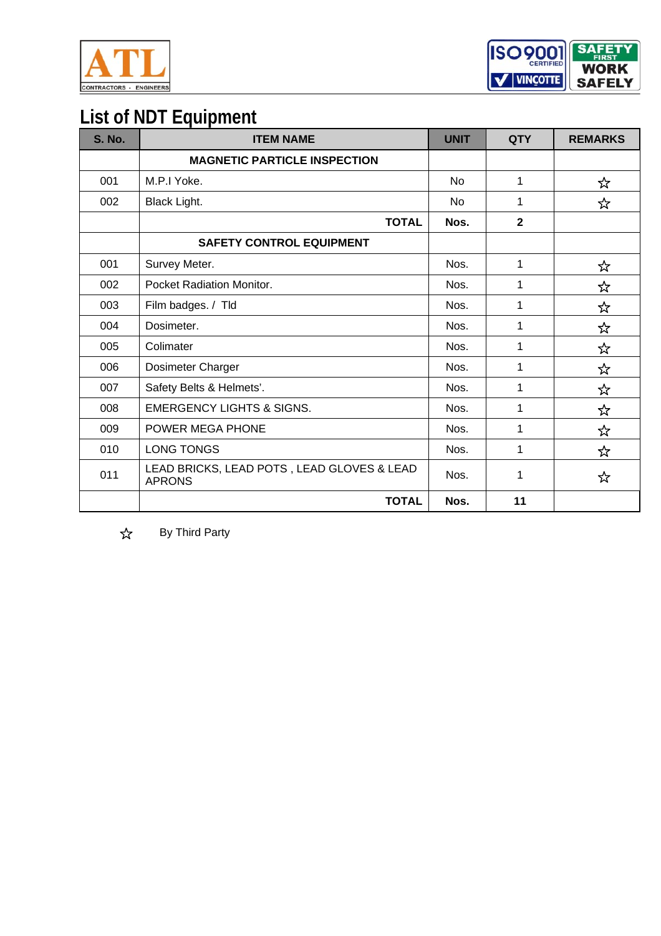



### **List of NDT Equipment**

| <b>S. No.</b> | <b>ITEM NAME</b>                                            | <b>UNIT</b>    | <b>QTY</b>   | <b>REMARKS</b> |
|---------------|-------------------------------------------------------------|----------------|--------------|----------------|
|               | <b>MAGNETIC PARTICLE INSPECTION</b>                         |                |              |                |
| 001           | M.P.I Yoke.                                                 | No             | 1            | ☆              |
| 002           | Black Light.                                                | N <sub>0</sub> | 1            | ☆              |
|               | <b>TOTAL</b>                                                | Nos.           | $\mathbf{2}$ |                |
|               | <b>SAFETY CONTROL EQUIPMENT</b>                             |                |              |                |
| 001           | Survey Meter.                                               | Nos.           | 1            | ☆              |
| 002           | Pocket Radiation Monitor.                                   | Nos.           | 1            | ☆              |
| 003           | Film badges. / Tld                                          | Nos.           | 1            | ☆              |
| 004           | Dosimeter.                                                  | Nos.           | 1            | ☆              |
| 005           | Colimater                                                   | Nos.           | 1            | ☆              |
| 006           | Dosimeter Charger                                           | Nos.           | 1            | ☆              |
| 007           | Safety Belts & Helmets'.                                    | Nos.           | 1            | ☆              |
| 008           | <b>EMERGENCY LIGHTS &amp; SIGNS.</b>                        | Nos.           | 1            | ☆              |
| 009           | <b>POWER MEGA PHONE</b>                                     | Nos.           | 1            | ☆              |
| 010           | <b>LONG TONGS</b>                                           | Nos.           | 1            | ☆              |
| 011           | LEAD BRICKS, LEAD POTS, LEAD GLOVES & LEAD<br><b>APRONS</b> | Nos.           | 1            | ☆              |
|               | <b>TOTAL</b>                                                | Nos.           | 11           |                |

 $x^2$ By Third Party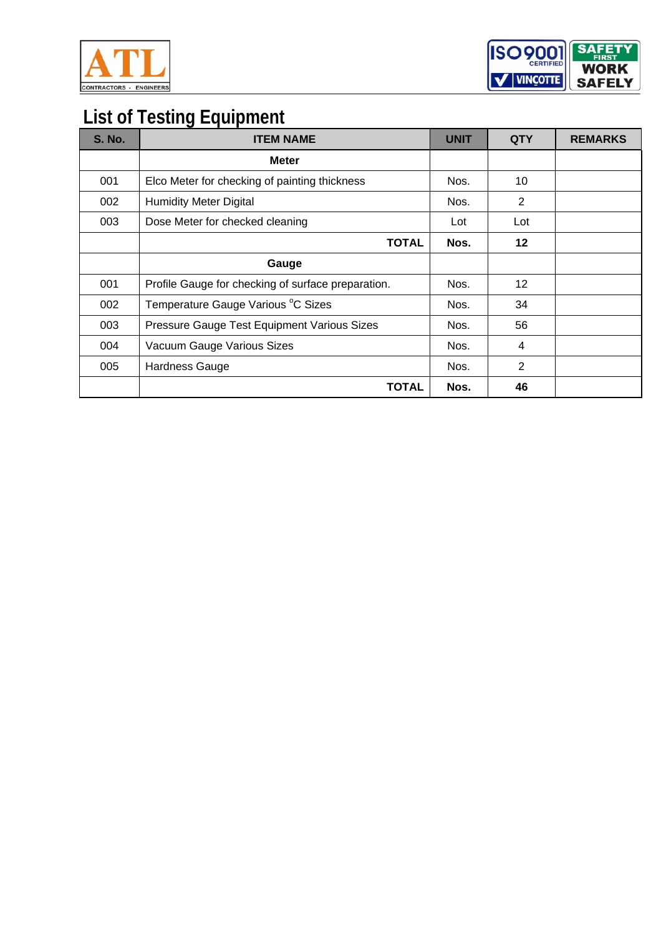



## **List of Testing Equipment**

| <b>S. No.</b> | <b>ITEM NAME</b>                                   | <b>UNIT</b> | <b>QTY</b>      | <b>REMARKS</b> |
|---------------|----------------------------------------------------|-------------|-----------------|----------------|
|               | <b>Meter</b>                                       |             |                 |                |
| 001           | Elco Meter for checking of painting thickness      | Nos.        | 10              |                |
| 002           | <b>Humidity Meter Digital</b>                      | Nos.        | 2               |                |
| 003           | Dose Meter for checked cleaning                    | Lot         | Lot             |                |
|               | <b>TOTAL</b>                                       | Nos.        | $12 \,$         |                |
|               | Gauge                                              |             |                 |                |
| 001           | Profile Gauge for checking of surface preparation. | Nos.        | 12 <sup>2</sup> |                |
| 002           | Temperature Gauge Various °C Sizes                 | Nos.        | 34              |                |
| 003           | Pressure Gauge Test Equipment Various Sizes        | Nos.        | 56              |                |
| 004           | Vacuum Gauge Various Sizes                         | Nos.        | 4               |                |
| 005           | Hardness Gauge                                     | Nos.        | 2               |                |
|               | <b>TOTAL</b>                                       | Nos.        | 46              |                |